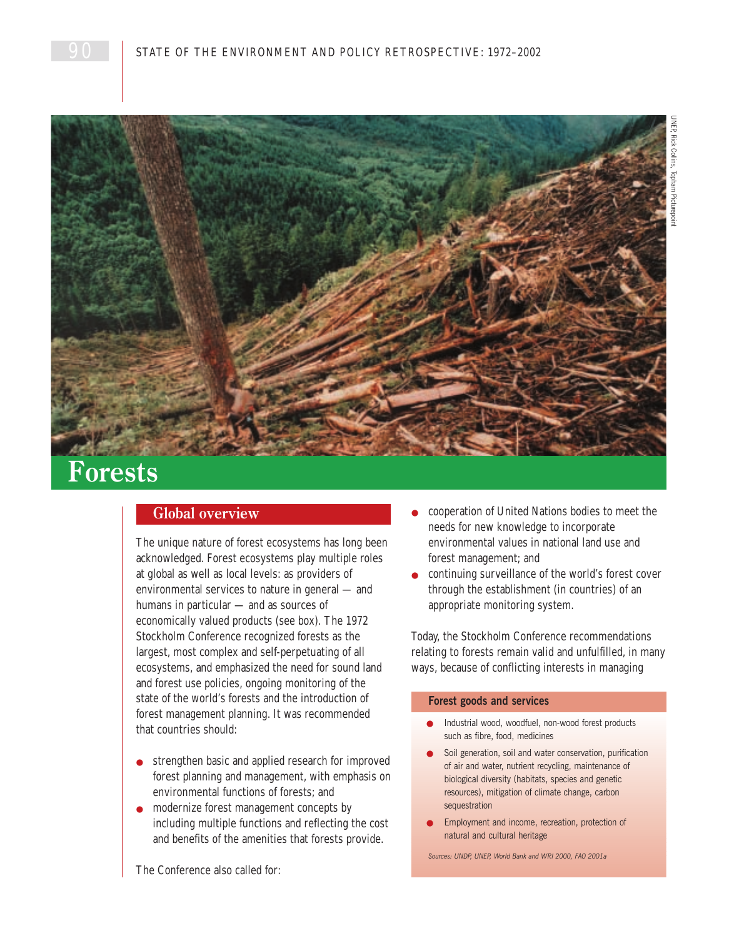

# **Forests**

### **Global overview**

The unique nature of forest ecosystems has long been acknowledged. Forest ecosystems play multiple roles at global as well as local levels: as providers of environmental services to nature in general — and humans in particular — and as sources of economically valued products (see box). The 1972 Stockholm Conference recognized forests as the largest, most complex and self-perpetuating of all ecosystems, and emphasized the need for sound land and forest use policies, ongoing monitoring of the state of the world's forests and the introduction of forest management planning. It was recommended that countries should:

- strengthen basic and applied research for improved forest planning and management, with emphasis on environmental functions of forests; and
- modernize forest management concepts by including multiple functions and reflecting the cost and benefits of the amenities that forests provide.

● cooperation of United Nations bodies to meet the needs for new knowledge to incorporate environmental values in national land use and forest management; and

UNEP, Rick Collins, Topham Picturepoint

Topham Picturepo

JNEP, Rick Collins

continuing surveillance of the world's forest cover through the establishment (in countries) of an appropriate monitoring system.

Today, the Stockholm Conference recommendations relating to forests remain valid and unfulfilled, in many ways, because of conflicting interests in managing

### **Forest goods and services**

- Industrial wood, woodfuel, non-wood forest products such as fibre, food, medicines
- Soil generation, soil and water conservation, purification of air and water, nutrient recycling, maintenance of biological diversity (habitats, species and genetic resources), mitigation of climate change, carbon sequestration
- Employment and income, recreation, protection of natural and cultural heritage

*Sources: UNDP, UNEP, World Bank and WRI 2000, FAO 2001a*

The Conference also called for: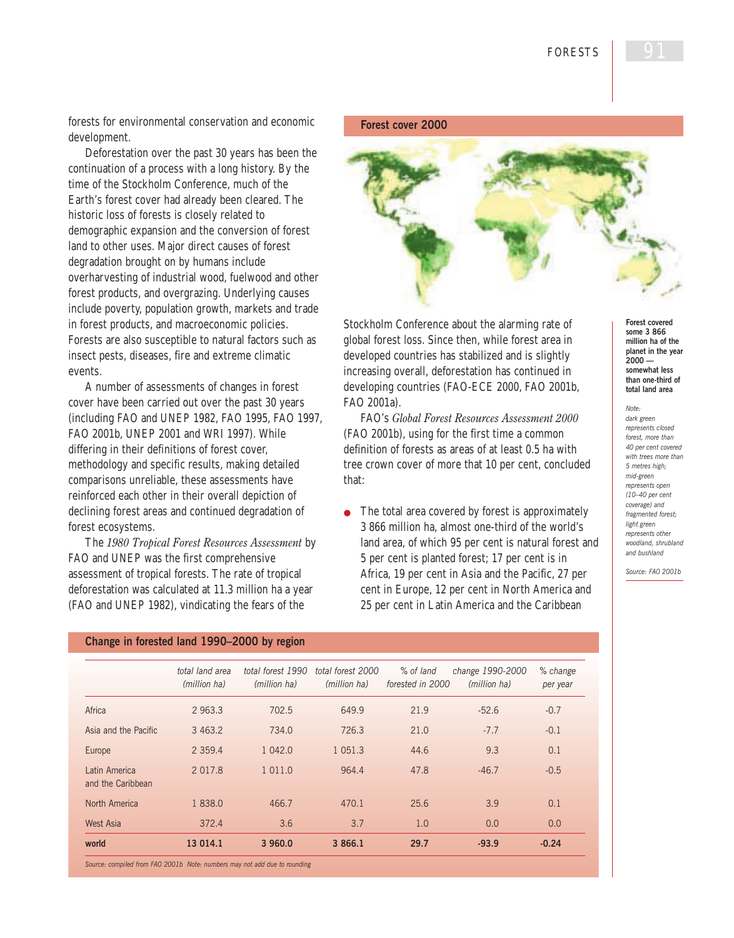forests for environmental conservation and economic development.

Deforestation over the past 30 years has been the continuation of a process with a long history. By the time of the Stockholm Conference, much of the Earth's forest cover had already been cleared. The historic loss of forests is closely related to demographic expansion and the conversion of forest land to other uses. Major direct causes of forest degradation brought on by humans include overharvesting of industrial wood, fuelwood and other forest products, and overgrazing. Underlying causes include poverty, population growth, markets and trade in forest products, and macroeconomic policies. Forests are also susceptible to natural factors such as insect pests, diseases, fire and extreme climatic events.

A number of assessments of changes in forest cover have been carried out over the past 30 years (including FAO and UNEP 1982, FAO 1995, FAO 1997, FAO 2001b, UNEP 2001 and WRI 1997). While differing in their definitions of forest cover, methodology and specific results, making detailed comparisons unreliable, these assessments have reinforced each other in their overall depiction of declining forest areas and continued degradation of forest ecosystems.

The *1980 Tropical Forest Resources Assessment* by FAO and UNEP was the first comprehensive assessment of tropical forests. The rate of tropical deforestation was calculated at 11.3 million ha a year (FAO and UNEP 1982), vindicating the fears of the

### **Forest cover 2000**



Stockholm Conference about the alarming rate of global forest loss. Since then, while forest area in developed countries has stabilized and is slightly increasing overall, deforestation has continued in developing countries (FAO-ECE 2000, FAO 2001b, FAO 2001a).

FAO's *Global Forest Resources Assessment 2000* (FAO 2001b), using for the first time a common definition of forests as areas of at least 0.5 ha with tree crown cover of more that 10 per cent, concluded that:

 $\bullet$  The total area covered by forest is approximately 3 866 million ha, almost one-third of the world's land area, of which 95 per cent is natural forest and 5 per cent is planted forest; 17 per cent is in Africa, 19 per cent in Asia and the Pacific, 27 per cent in Europe, 12 per cent in North America and 25 per cent in Latin America and the Caribbean

**Forest covered some 3 866 million ha of the planet in the year 2000 somewhat less than one-third of total land area**

### *Note: dark green represents closed forest, more than 40 per cent covered with trees more than 5 metres high; mid-green represents open (10–40 per cent coverage) and fragmented forest; light green represents other woodland, shrubland and bushland*

*Source: FAO 2001b*

### **Change in forested land 1990–2000 by region**

|                                    | total land area<br>(million ha) | total forest 1990<br>(million ha) | total forest 2000<br>(million ha) | % of land<br>forested in 2000 | change 1990-2000<br>(million ha) | % change<br>per year |
|------------------------------------|---------------------------------|-----------------------------------|-----------------------------------|-------------------------------|----------------------------------|----------------------|
| Africa                             | 2 963.3                         | 702.5                             | 649.9                             | 21.9                          | $-52.6$                          | $-0.7$               |
| Asia and the Pacific               | 3 4 6 3 . 2                     | 734.0                             | 726.3                             | 21.0                          | $-7.7$                           | $-0.1$               |
| Europe                             | 2 3 5 9.4                       | 1 042.0                           | 1 0 5 1 .3                        | 44.6                          | 9.3                              | 0.1                  |
| Latin America<br>and the Caribbean | 2 017.8                         | 1 0 1 1 .0                        | 964.4                             | 47.8                          | $-46.7$                          | $-0.5$               |
| North America                      | 1 838.0                         | 466.7                             | 470.1                             | 25.6                          | 3.9                              | 0.1                  |
| West Asia                          | 372.4                           | 3.6                               | 3.7                               | 1.0                           | 0.0                              | 0.0                  |
| world                              | 13 014.1                        | 3 960.0                           | 3 866.1                           | 29.7                          | $-93.9$                          | $-0.24$              |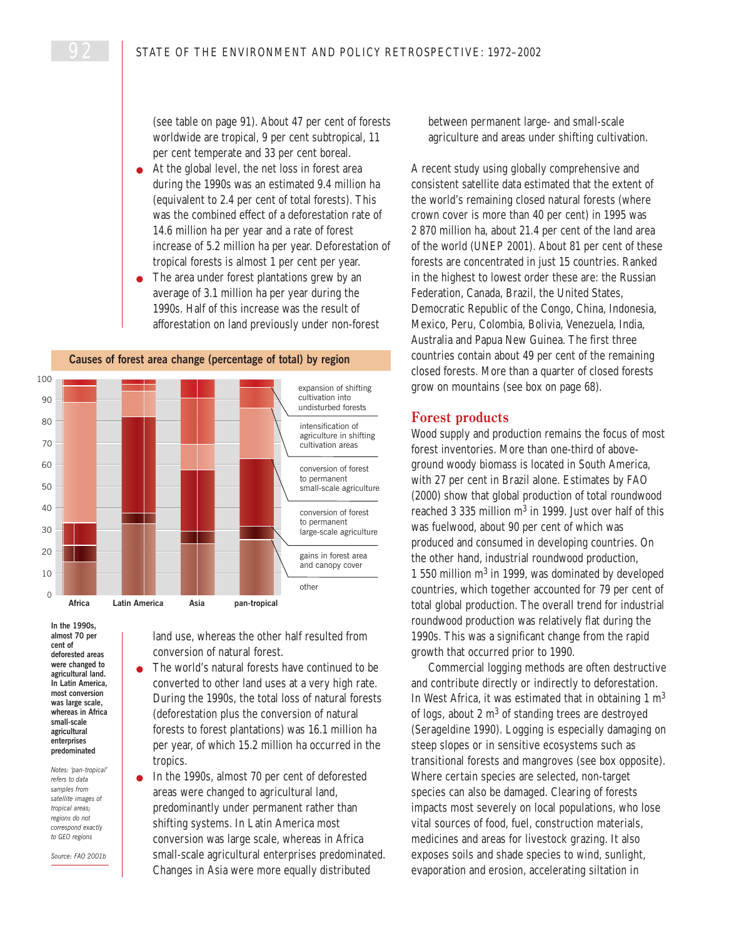(see table on page 91). About 47 per cent of forests worldwide are tropical, 9 per cent subtropical, 11 per cent temperate and 33 per cent boreal.

● At the global level, the net loss in forest area during the 1990s was an estimated 9.4 million ha (equivalent to 2.4 per cent of total forests). This was the combined effect of a deforestation rate of 14.6 million ha per year and a rate of forest increase of 5.2 million ha per year. Deforestation of tropical forests is almost 1 per cent per year.

The area under forest plantations grew by an average of 3.1 million ha per year during the 1990s. Half of this increase was the result of afforestation on land previously under non-forest



**In the 1990s, almost 70 per cent of deforested areas were changed to agricultural land. In Latin America, most conversion was large scale, whereas in Africa small-scale agricultural enterprises predominated**

*Notes: 'pan-tropical' refers to data samples from satellite images of tropical areas; regions do not correspond exactly to GEO regions*

*Source: FAO 2001b*

land use, whereas the other half resulted from conversion of natural forest.

- The world's natural forests have continued to be converted to other land uses at a very high rate. During the 1990s, the total loss of natural forests (deforestation plus the conversion of natural forests to forest plantations) was 16.1 million ha per year, of which 15.2 million ha occurred in the tropics.
- In the 1990s, almost 70 per cent of deforested areas were changed to agricultural land, predominantly under permanent rather than shifting systems. In Latin America most conversion was large scale, whereas in Africa small-scale agricultural enterprises predominated. Changes in Asia were more equally distributed

between permanent large- and small-scale agriculture and areas under shifting cultivation.

A recent study using globally comprehensive and consistent satellite data estimated that the extent of the world's remaining closed natural forests (where crown cover is more than 40 per cent) in 1995 was 2 870 million ha, about 21.4 per cent of the land area of the world (UNEP 2001). About 81 per cent of these forests are concentrated in just 15 countries. Ranked in the highest to lowest order these are: the Russian Federation, Canada, Brazil, the United States, Democratic Republic of the Congo, China, Indonesia, Mexico, Peru, Colombia, Bolivia, Venezuela, India, Australia and Papua New Guinea. The first three countries contain about 49 per cent of the remaining closed forests. More than a quarter of closed forests grow on mountains (see box on page 68).

### **Forest products**

Wood supply and production remains the focus of most forest inventories. More than one-third of aboveground woody biomass is located in South America, with 27 per cent in Brazil alone. Estimates by FAO (2000) show that global production of total roundwood reached 3 335 million  $m<sup>3</sup>$  in 1999. Just over half of this was fuelwood, about 90 per cent of which was produced and consumed in developing countries. On the other hand, industrial roundwood production, 1 550 million  $m^3$  in 1999, was dominated by developed countries, which together accounted for 79 per cent of total global production. The overall trend for industrial roundwood production was relatively flat during the 1990s. This was a significant change from the rapid growth that occurred prior to 1990.

Commercial logging methods are often destructive and contribute directly or indirectly to deforestation. In West Africa, it was estimated that in obtaining  $1 \text{ m}^3$ of logs, about 2  $m<sup>3</sup>$  of standing trees are destroyed (Serageldine 1990). Logging is especially damaging on steep slopes or in sensitive ecosystems such as transitional forests and mangroves (see box opposite). Where certain species are selected, non-target species can also be damaged. Clearing of forests impacts most severely on local populations, who lose vital sources of food, fuel, construction materials, medicines and areas for livestock grazing. It also exposes soils and shade species to wind, sunlight, evaporation and erosion, accelerating siltation in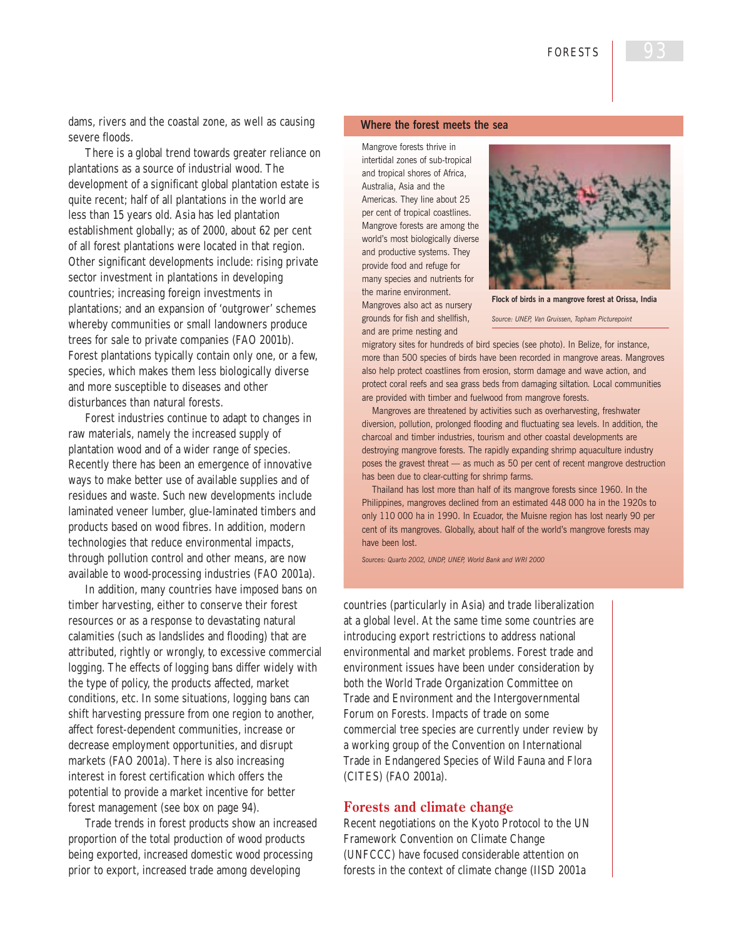dams, rivers and the coastal zone, as well as causing severe floods.

There is a global trend towards greater reliance on plantations as a source of industrial wood. The development of a significant global plantation estate is quite recent; half of all plantations in the world are less than 15 years old. Asia has led plantation establishment globally; as of 2000, about 62 per cent of all forest plantations were located in that region. Other significant developments include: rising private sector investment in plantations in developing countries; increasing foreign investments in plantations; and an expansion of 'outgrower' schemes whereby communities or small landowners produce trees for sale to private companies (FAO 2001b). Forest plantations typically contain only one, or a few, species, which makes them less biologically diverse and more susceptible to diseases and other disturbances than natural forests.

Forest industries continue to adapt to changes in raw materials, namely the increased supply of plantation wood and of a wider range of species. Recently there has been an emergence of innovative ways to make better use of available supplies and of residues and waste. Such new developments include laminated veneer lumber, glue-laminated timbers and products based on wood fibres. In addition, modern technologies that reduce environmental impacts, through pollution control and other means, are now available to wood-processing industries (FAO 2001a).

In addition, many countries have imposed bans on timber harvesting, either to conserve their forest resources or as a response to devastating natural calamities (such as landslides and flooding) that are attributed, rightly or wrongly, to excessive commercial logging. The effects of logging bans differ widely with the type of policy, the products affected, market conditions, etc. In some situations, logging bans can shift harvesting pressure from one region to another, affect forest-dependent communities, increase or decrease employment opportunities, and disrupt markets (FAO 2001a). There is also increasing interest in forest certification which offers the potential to provide a market incentive for better forest management (see box on page 94).

Trade trends in forest products show an increased proportion of the total production of wood products being exported, increased domestic wood processing prior to export, increased trade among developing

### **Where the forest meets the sea**

Mangrove forests thrive in intertidal zones of sub-tropical and tropical shores of Africa, Australia, Asia and the Americas. They line about 25 per cent of tropical coastlines. Mangrove forests are among the world's most biologically diverse and productive systems. They provide food and refuge for many species and nutrients for the marine environment. Mangroves also act as nursery grounds for fish and shellfish, and are prime nesting and



**Flock of birds in a mangrove forest at Orissa, India** *Source: UNEP, Van Gruissen, Topham Picturepoint*

migratory sites for hundreds of bird species (see photo). In Belize, for instance, more than 500 species of birds have been recorded in mangrove areas. Mangroves also help protect coastlines from erosion, storm damage and wave action, and protect coral reefs and sea grass beds from damaging siltation. Local communities are provided with timber and fuelwood from mangrove forests.

Mangroves are threatened by activities such as overharvesting, freshwater diversion, pollution, prolonged flooding and fluctuating sea levels. In addition, the charcoal and timber industries, tourism and other coastal developments are destroying mangrove forests. The rapidly expanding shrimp aquaculture industry poses the gravest threat — as much as 50 per cent of recent mangrove destruction has been due to clear-cutting for shrimp farms.

Thailand has lost more than half of its mangrove forests since 1960. In the Philippines, mangroves declined from an estimated 448 000 ha in the 1920s to only 110 000 ha in 1990. In Ecuador, the Muisne region has lost nearly 90 per cent of its mangroves. Globally, about half of the world's mangrove forests may have been lost.

*Sources: Quarto 2002, UNDP, UNEP, World Bank and WRI 2000*

countries (particularly in Asia) and trade liberalization at a global level. At the same time some countries are introducing export restrictions to address national environmental and market problems. Forest trade and environment issues have been under consideration by both the World Trade Organization Committee on Trade and Environment and the Intergovernmental Forum on Forests. Impacts of trade on some commercial tree species are currently under review by a working group of the Convention on International Trade in Endangered Species of Wild Fauna and Flora (CITES) (FAO 2001a).

### **Forests and climate change**

Recent negotiations on the Kyoto Protocol to the UN Framework Convention on Climate Change (UNFCCC) have focused considerable attention on forests in the context of climate change (IISD 2001a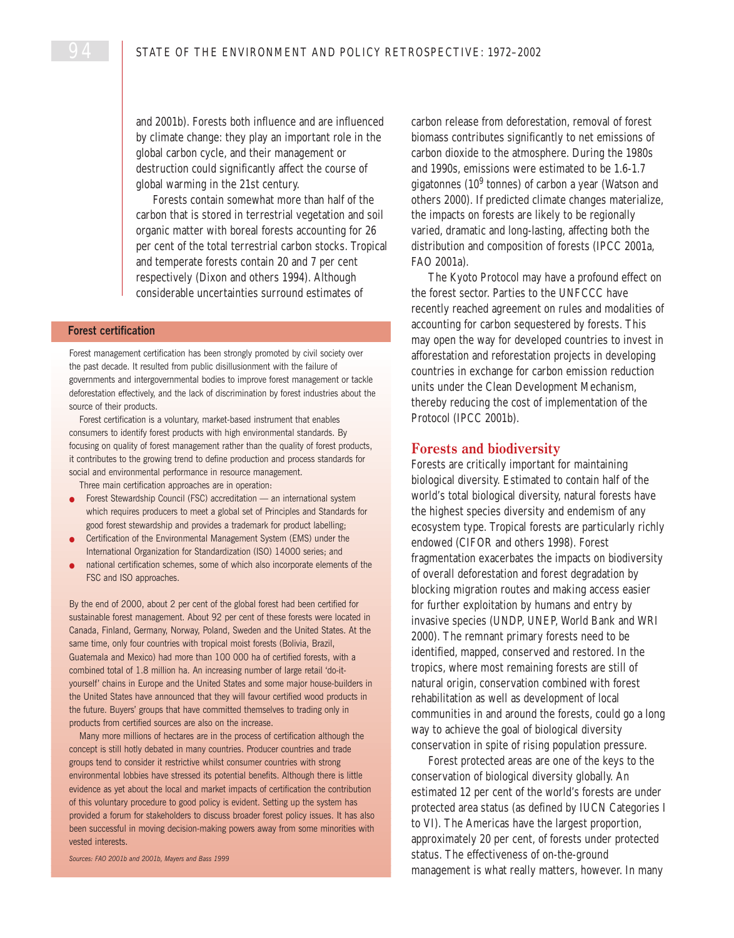and 2001b). Forests both influence and are influenced by climate change: they play an important role in the global carbon cycle, and their management or destruction could significantly affect the course of global warming in the 21st century.

Forests contain somewhat more than half of the carbon that is stored in terrestrial vegetation and soil organic matter with boreal forests accounting for 26 per cent of the total terrestrial carbon stocks. Tropical and temperate forests contain 20 and 7 per cent respectively (Dixon and others 1994). Although considerable uncertainties surround estimates of

### **Forest certification**

Forest management certification has been strongly promoted by civil society over the past decade. It resulted from public disillusionment with the failure of governments and intergovernmental bodies to improve forest management or tackle deforestation effectively, and the lack of discrimination by forest industries about the source of their products.

Forest certification is a voluntary, market-based instrument that enables consumers to identify forest products with high environmental standards. By focusing on quality of forest management rather than the quality of forest products, it contributes to the growing trend to define production and process standards for social and environmental performance in resource management.

Three main certification approaches are in operation:

- Forest Stewardship Council (FSC) accreditation an international system which requires producers to meet a global set of Principles and Standards for good forest stewardship and provides a trademark for product labelling;
- Certification of the Environmental Management System (EMS) under the International Organization for Standardization (ISO) 14000 series; and
- national certification schemes, some of which also incorporate elements of the FSC and ISO approaches.

By the end of 2000, about 2 per cent of the global forest had been certified for sustainable forest management. About 92 per cent of these forests were located in Canada, Finland, Germany, Norway, Poland, Sweden and the United States. At the same time, only four countries with tropical moist forests (Bolivia, Brazil, Guatemala and Mexico) had more than 100 000 ha of certified forests, with a combined total of 1.8 million ha. An increasing number of large retail 'do-ityourself' chains in Europe and the United States and some major house-builders in the United States have announced that they will favour certified wood products in the future. Buyers' groups that have committed themselves to trading only in products from certified sources are also on the increase.

Many more millions of hectares are in the process of certification although the concept is still hotly debated in many countries. Producer countries and trade groups tend to consider it restrictive whilst consumer countries with strong environmental lobbies have stressed its potential benefits. Although there is little evidence as yet about the local and market impacts of certification the contribution of this voluntary procedure to good policy is evident. Setting up the system has provided a forum for stakeholders to discuss broader forest policy issues. It has also been successful in moving decision-making powers away from some minorities with vested interests.

*Sources: FAO 2001b and 2001b, Mayers and Bass 1999* 

carbon release from deforestation, removal of forest biomass contributes significantly to net emissions of carbon dioxide to the atmosphere. During the 1980s and 1990s, emissions were estimated to be 1.6-1.7 gigatonnes  $(10^9 \text{ tonnes})$  of carbon a year (Watson and others 2000). If predicted climate changes materialize, the impacts on forests are likely to be regionally varied, dramatic and long-lasting, affecting both the distribution and composition of forests (IPCC 2001a, FAO 2001a).

The Kyoto Protocol may have a profound effect on the forest sector. Parties to the UNFCCC have recently reached agreement on rules and modalities of accounting for carbon sequestered by forests. This may open the way for developed countries to invest in afforestation and reforestation projects in developing countries in exchange for carbon emission reduction units under the Clean Development Mechanism, thereby reducing the cost of implementation of the Protocol (IPCC 2001b).

### **Forests and biodiversity**

Forests are critically important for maintaining biological diversity. Estimated to contain half of the world's total biological diversity, natural forests have the highest species diversity and endemism of any ecosystem type. Tropical forests are particularly richly endowed (CIFOR and others 1998). Forest fragmentation exacerbates the impacts on biodiversity of overall deforestation and forest degradation by blocking migration routes and making access easier for further exploitation by humans and entry by invasive species (UNDP, UNEP, World Bank and WRI 2000). The remnant primary forests need to be identified, mapped, conserved and restored. In the tropics, where most remaining forests are still of natural origin, conservation combined with forest rehabilitation as well as development of local communities in and around the forests, could go a long way to achieve the goal of biological diversity conservation in spite of rising population pressure.

Forest protected areas are one of the keys to the conservation of biological diversity globally. An estimated 12 per cent of the world's forests are under protected area status (as defined by IUCN Categories I to VI). The Americas have the largest proportion, approximately 20 per cent, of forests under protected status. The effectiveness of on-the-ground management is what really matters, however. In many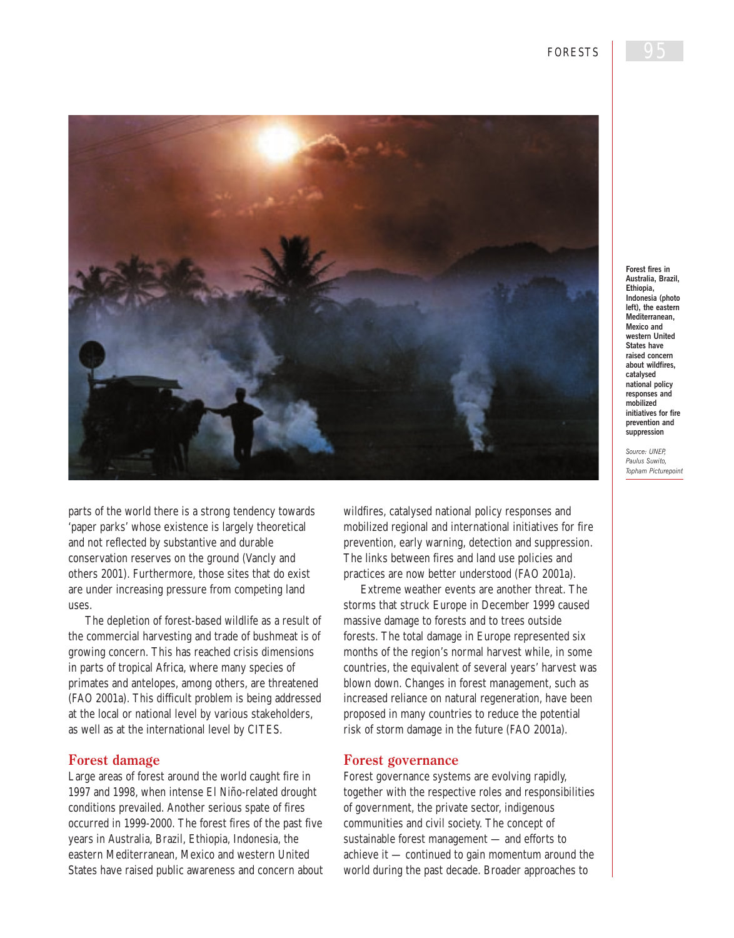

**Forest fires in Australia, Brazil, Ethiopia, Indonesia (photo left), the eastern Mediterranean, Mexico and western United States have raised concern about wildfires, catalysed national policy responses and mobilized initiatives for fire prevention and suppression**

*Source: UNEP, Paulus Suwito, Topham Picturepoint*

parts of the world there is a strong tendency towards 'paper parks' whose existence is largely theoretical and not reflected by substantive and durable conservation reserves on the ground (Vancly and others 2001). Furthermore, those sites that do exist are under increasing pressure from competing land uses.

The depletion of forest-based wildlife as a result of the commercial harvesting and trade of bushmeat is of growing concern. This has reached crisis dimensions in parts of tropical Africa, where many species of primates and antelopes, among others, are threatened (FAO 2001a). This difficult problem is being addressed at the local or national level by various stakeholders, as well as at the international level by CITES.

### **Forest damage**

Large areas of forest around the world caught fire in 1997 and 1998, when intense El Niño-related drought conditions prevailed. Another serious spate of fires occurred in 1999-2000. The forest fires of the past five years in Australia, Brazil, Ethiopia, Indonesia, the eastern Mediterranean, Mexico and western United States have raised public awareness and concern about wildfires, catalysed national policy responses and mobilized regional and international initiatives for fire prevention, early warning, detection and suppression. The links between fires and land use policies and practices are now better understood (FAO 2001a).

Extreme weather events are another threat. The storms that struck Europe in December 1999 caused massive damage to forests and to trees outside forests. The total damage in Europe represented six months of the region's normal harvest while, in some countries, the equivalent of several years' harvest was blown down. Changes in forest management, such as increased reliance on natural regeneration, have been proposed in many countries to reduce the potential risk of storm damage in the future (FAO 2001a).

### **Forest governance**

Forest governance systems are evolving rapidly, together with the respective roles and responsibilities of government, the private sector, indigenous communities and civil society. The concept of sustainable forest management — and efforts to achieve it — continued to gain momentum around the world during the past decade. Broader approaches to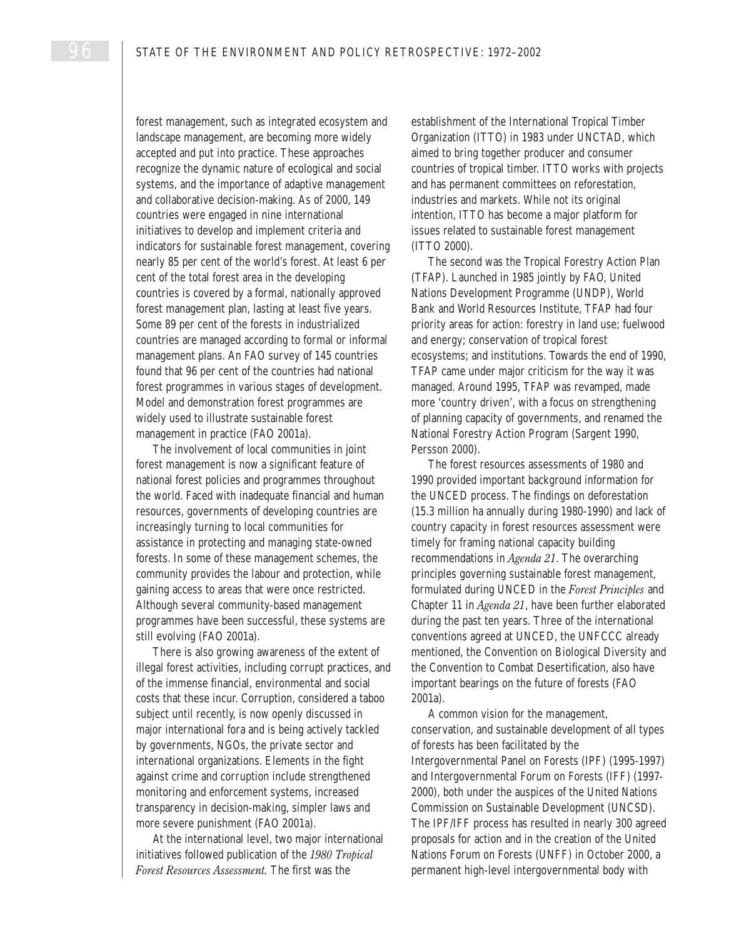forest management, such as integrated ecosystem and landscape management, are becoming more widely accepted and put into practice. These approaches recognize the dynamic nature of ecological and social systems, and the importance of adaptive management and collaborative decision-making. As of 2000, 149 countries were engaged in nine international initiatives to develop and implement criteria and indicators for sustainable forest management, covering nearly 85 per cent of the world's forest. At least 6 per cent of the total forest area in the developing countries is covered by a formal, nationally approved forest management plan, lasting at least five years. Some 89 per cent of the forests in industrialized countries are managed according to formal or informal management plans. An FAO survey of 145 countries found that 96 per cent of the countries had national forest programmes in various stages of development. Model and demonstration forest programmes are widely used to illustrate sustainable forest management in practice (FAO 2001a).

The involvement of local communities in joint forest management is now a significant feature of national forest policies and programmes throughout the world. Faced with inadequate financial and human resources, governments of developing countries are increasingly turning to local communities for assistance in protecting and managing state-owned forests. In some of these management schemes, the community provides the labour and protection, while gaining access to areas that were once restricted. Although several community-based management programmes have been successful, these systems are still evolving (FAO 2001a).

There is also growing awareness of the extent of illegal forest activities, including corrupt practices, and of the immense financial, environmental and social costs that these incur. Corruption, considered a taboo subject until recently, is now openly discussed in major international fora and is being actively tackled by governments, NGOs, the private sector and international organizations. Elements in the fight against crime and corruption include strengthened monitoring and enforcement systems, increased transparency in decision-making, simpler laws and more severe punishment (FAO 2001a).

At the international level, two major international initiatives followed publication of the *1980 Tropical Forest Resources Assessment.* The first was the

establishment of the International Tropical Timber Organization (ITTO) in 1983 under UNCTAD, which aimed to bring together producer and consumer countries of tropical timber. ITTO works with projects and has permanent committees on reforestation, industries and markets. While not its original intention, ITTO has become a major platform for issues related to sustainable forest management (ITTO 2000).

The second was the Tropical Forestry Action Plan (TFAP). Launched in 1985 jointly by FAO, United Nations Development Programme (UNDP), World Bank and World Resources Institute, TFAP had four priority areas for action: forestry in land use; fuelwood and energy; conservation of tropical forest ecosystems; and institutions. Towards the end of 1990, TFAP came under major criticism for the way it was managed. Around 1995, TFAP was revamped, made more 'country driven', with a focus on strengthening of planning capacity of governments, and renamed the National Forestry Action Program (Sargent 1990, Persson 2000).

The forest resources assessments of 1980 and 1990 provided important background information for the UNCED process. The findings on deforestation (15.3 million ha annually during 1980-1990) and lack of country capacity in forest resources assessment were timely for framing national capacity building recommendations in *Agenda 21*. The overarching principles governing sustainable forest management, formulated during UNCED in the *Forest Principles* and Chapter 11 in *Agenda 21*, have been further elaborated during the past ten years. Three of the international conventions agreed at UNCED, the UNFCCC already mentioned, the Convention on Biological Diversity and the Convention to Combat Desertification, also have important bearings on the future of forests (FAO 2001a).

A common vision for the management, conservation, and sustainable development of all types of forests has been facilitated by the Intergovernmental Panel on Forests (IPF) (1995-1997) and Intergovernmental Forum on Forests (IFF) (1997- 2000), both under the auspices of the United Nations Commission on Sustainable Development (UNCSD). The IPF/IFF process has resulted in nearly 300 agreed proposals for action and in the creation of the United Nations Forum on Forests (UNFF) in October 2000, a permanent high-level intergovernmental body with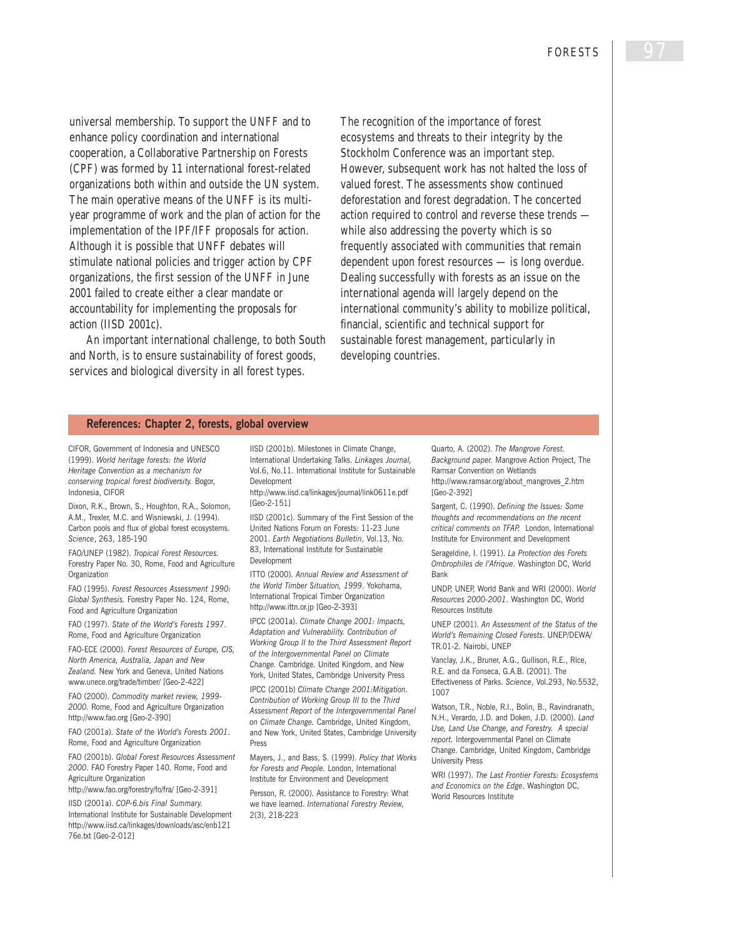universal membership. To support the UNFF and to enhance policy coordination and international cooperation, a Collaborative Partnership on Forests (CPF) was formed by 11 international forest-related organizations both within and outside the UN system. The main operative means of the UNFF is its multiyear programme of work and the plan of action for the implementation of the IPF/IFF proposals for action. Although it is possible that UNFF debates will stimulate national policies and trigger action by CPF organizations, the first session of the UNFF in June 2001 failed to create either a clear mandate or accountability for implementing the proposals for action (IISD 2001c).

An important international challenge, to both South and North, is to ensure sustainability of forest goods, services and biological diversity in all forest types.

The recognition of the importance of forest ecosystems and threats to their integrity by the Stockholm Conference was an important step. However, subsequent work has not halted the loss of valued forest. The assessments show continued deforestation and forest degradation. The concerted action required to control and reverse these trends while also addressing the poverty which is so frequently associated with communities that remain dependent upon forest resources — is long overdue. Dealing successfully with forests as an issue on the international agenda will largely depend on the international community's ability to mobilize political, financial, scientific and technical support for sustainable forest management, particularly in developing countries.

### **References: Chapter 2, forests, global overview**

CIFOR, Government of Indonesia and UNESCO (1999). *World heritage forests: the World Heritage Convention as a mechanism for conserving tropical forest biodiversity.* Bogor, Indonesia, CIFOR

Dixon, R.K., Brown, S., Houghton, R.A., Solomon, A.M., Trexler, M.C. and Wisniewski, J. (1994). Carbon pools and flux of global forest ecosystems. *Science*, 263, 185-190

FAO/UNEP (1982). *Tropical Forest Resources.* Forestry Paper No. 30, Rome, Food and Agriculture Organization

FAO (1995). *Forest Resources Assessment 1990: Global Synthesis.* Forestry Paper No. 124, Rome, Food and Agriculture Organization

FAO (1997). *State of the World's Forests 1997*. Rome, Food and Agriculture Organization

FAO-ECE (2000). *Forest Resources of Europe, CIS, North America, Australia, Japan and New Zealand.* New York and Geneva, United Nations www.unece.org/trade/timber/ [Geo-2-422]

FAO (2000). *Commodity market review, 1999- 2000.* Rome, Food and Agriculture Organization http://www.fao.org [Geo-2-390]

FAO (2001a). *State of the World's Forests 2001*. Rome, Food and Agriculture Organization

FAO (2001b). *Global Forest Resources Assessment 2000*. FAO Forestry Paper 140. Rome, Food and Agriculture Organization

http://www.fao.org/forestry/fo/fra/ [Geo-2-391]

IISD (2001a). *COP-6.bis Final Summary.* International Institute for Sustainable Development http://www.iisd.ca/linkages/downloads/asc/enb121 76e.txt [Geo-2-012]

IISD (2001b). Milestones in Climate Change, International Undertaking Talks. *Linkages Journal,* Vol.6, No.11. International Institute for Sustainable Development

http://www.iisd.ca/linkages/journal/link0611e.pdf [Geo-2-151]

IISD (2001c). Summary of the First Session of the United Nations Forum on Forests: 11-23 June 2001. *Earth Negotiations Bulletin*, Vol.13, No. 83, International Institute for Sustainable Development

ITTO (2000). *Annual Review and Assessment of the World Timber Situation, 1999*. Yokohama, International Tropical Timber Organization http://www.ittn.or.jp [Geo-2-393]

IPCC (2001a). *Climate Change 2001: Impacts, Adaptation and Vulnerability. Contribution of Working Group II to the Third Assessment Report of the Intergovernmental Panel on Climate Change.* Cambridge. United Kingdom, and New York, United States, Cambridge University Press

IPCC (2001b) *Climate Change 2001:Mitigation. Contribution of Working Group III to the Third Assessment Report of the Intergovernmental Panel on Climate Change.* Cambridge, United Kingdom, and New York, United States, Cambridge University Press

Mayers, J., and Bass, S. (1999). *Policy that Works for Forests and People.* London, International Institute for Environment and Development

Persson, R. (2000). Assistance to Forestry: What we have learned. *International Forestry Review,* 2(3), 218-223

Quarto, A. (2002). *The Mangrove Forest. Background paper.* Mangrove Action Project, The Ramsar Convention on Wetlands http://www.ramsar.org/about\_mangroves\_2.htm [Geo-2-392]

Sargent, C. (1990). *Defining the Issues: Some thoughts and recommendations on the recent critical comments on TFAP.* London, International Institute for Environment and Development

Serageldine, I. (1991). *La Protection des Forets Ombrophiles de l'Afrique*. Washington DC, World Bank

UNDP, UNEP, World Bank and WRI (2000). *World Resources 2000-2001*. Washington DC, World Resources Institute

UNEP (2001). *An Assessment of the Status of the World's Remaining Closed Forests*. UNEP/DEWA/ TR.01-2. Nairobi, UNEP

Vanclay, J.K., Bruner, A.G., Gullison, R.E., Rice, R.E. and da Fonseca, G.A.B. (2001). The Effectiveness of Parks. *Science*, Vol.293, No.5532, 1007

Watson, T.R., Noble, R.I., Bolin, B., Ravindranath, N.H., Verardo, J.D. and Doken, J.D. (2000). *Land Use, Land Use Change, and Forestry. A special report.* Intergovernmental Panel on Climate Change. Cambridge, United Kingdom, Cambridge University Press

WRI (1997). *The Last Frontier Forests: Ecosystems and Economics on the Edge*. Washington DC, World Resources Institute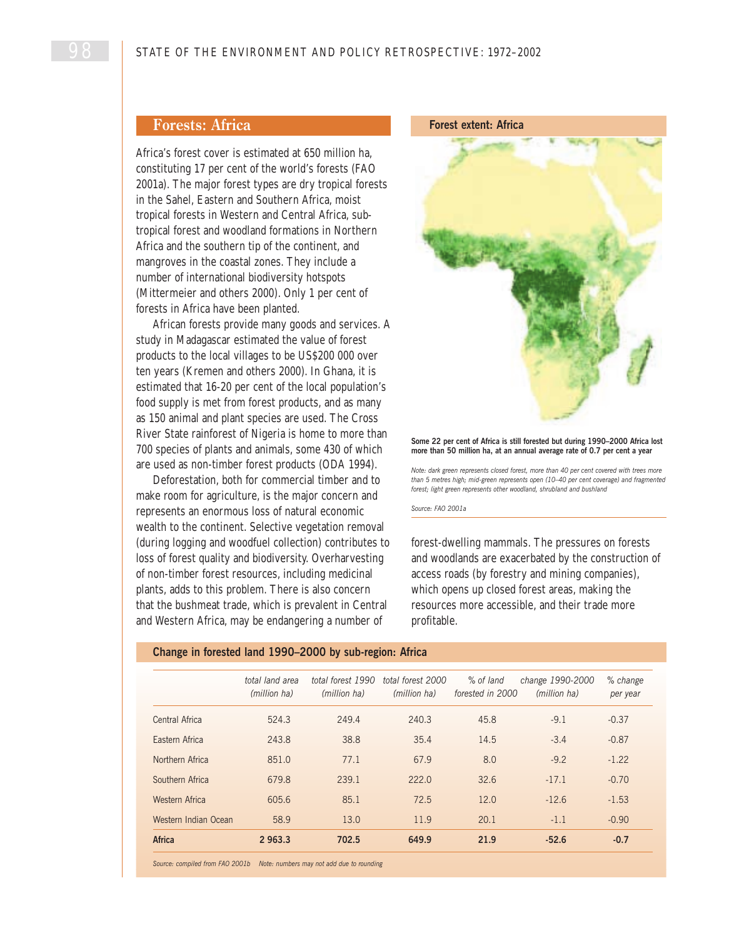### **Forests: Africa**

Africa's forest cover is estimated at 650 million ha, constituting 17 per cent of the world's forests (FAO 2001a). The major forest types are dry tropical forests in the Sahel, Eastern and Southern Africa, moist tropical forests in Western and Central Africa, subtropical forest and woodland formations in Northern Africa and the southern tip of the continent, and mangroves in the coastal zones. They include a number of international biodiversity hotspots (Mittermeier and others 2000). Only 1 per cent of forests in Africa have been planted.

African forests provide many goods and services. A study in Madagascar estimated the value of forest products to the local villages to be US\$200 000 over ten years (Kremen and others 2000). In Ghana, it is estimated that 16-20 per cent of the local population's food supply is met from forest products, and as many as 150 animal and plant species are used. The Cross River State rainforest of Nigeria is home to more than 700 species of plants and animals, some 430 of which are used as non-timber forest products (ODA 1994).

Deforestation, both for commercial timber and to make room for agriculture, is the major concern and represents an enormous loss of natural economic wealth to the continent. Selective vegetation removal (during logging and woodfuel collection) contributes to loss of forest quality and biodiversity. Overharvesting of non-timber forest resources, including medicinal plants, adds to this problem. There is also concern that the bushmeat trade, which is prevalent in Central and Western Africa, may be endangering a number of



**Forest extent: Africa**

### **Some 22 per cent of Africa is still forested but during 1990–2000 Africa lost more than 50 million ha, at an annual average rate of 0.7 per cent a year**

*Note: dark green represents closed forest, more than 40 per cent covered with trees more than 5 metres high; mid-green represents open (10–40 per cent coverage) and fragmented forest; light green represents other woodland, shrubland and bushland*

*Source: FAO 2001a*

forest-dwelling mammals. The pressures on forests and woodlands are exacerbated by the construction of access roads (by forestry and mining companies), which opens up closed forest areas, making the resources more accessible, and their trade more profitable.

|                       | total land area<br>(million ha) | total forest 1990<br>(million ha) | total forest 2000<br>(million ha) | % of land<br>forested in 2000 | change 1990-2000<br>(million ha) | % change<br>per year |
|-----------------------|---------------------------------|-----------------------------------|-----------------------------------|-------------------------------|----------------------------------|----------------------|
| Central Africa        | 524.3                           | 249.4                             | 240.3                             | 45.8                          | $-9.1$                           | $-0.37$              |
| <b>Fastern Africa</b> | 243.8                           | 38.8                              | 35.4                              | 14.5                          | $-3.4$                           | $-0.87$              |
| Northern Africa       | 851.0                           | 77.1                              | 67.9                              | 8.0                           | $-9.2$                           | $-1.22$              |
| Southern Africa       | 679.8                           | 239.1                             | 222.0                             | 32.6                          | $-17.1$                          | $-0.70$              |
| Western Africa        | 605.6                           | 85.1                              | 72.5                              | 12.0                          | $-12.6$                          | $-1.53$              |
| Western Indian Ocean  | 58.9                            | 13.0                              | 11.9                              | 20.1                          | $-1.1$                           | $-0.90$              |
| <b>Africa</b>         | 2 9 6 3 . 3                     | 702.5                             | 649.9                             | 21.9                          | $-52.6$                          | $-0.7$               |

### **Change in forested land 1990–2000 by sub-region: Africa**

*Source: compiled from FAO 2001b Note: numbers may not add due to rounding*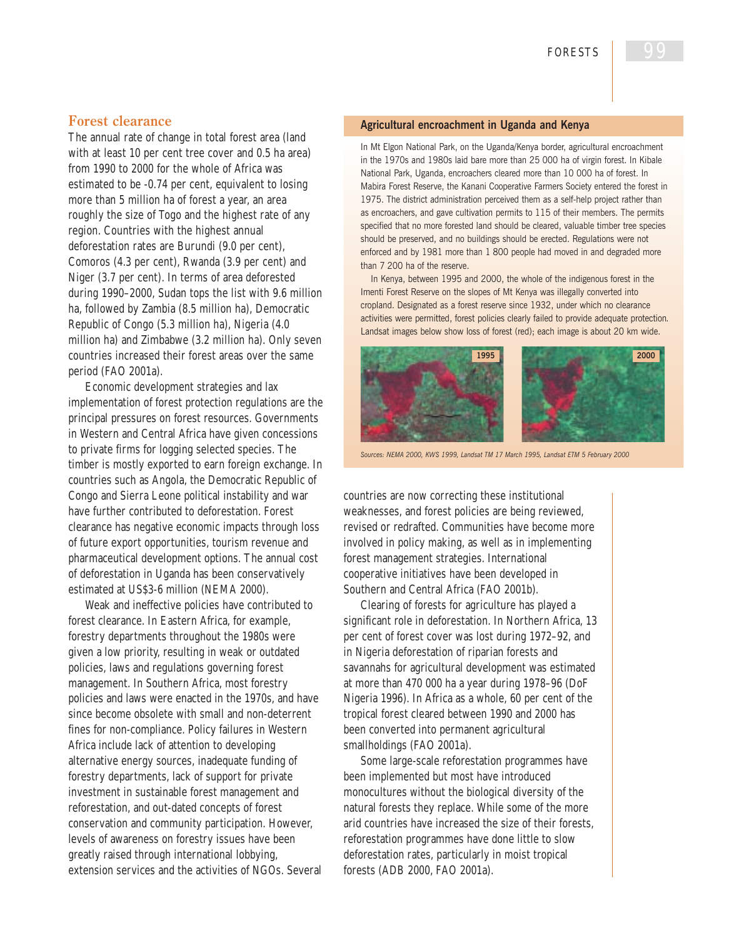### **Forest clearance**

The annual rate of change in total forest area (land with at least 10 per cent tree cover and 0.5 ha area) from 1990 to 2000 for the whole of Africa was estimated to be -0.74 per cent, equivalent to losing more than 5 million ha of forest a year, an area roughly the size of Togo and the highest rate of any region. Countries with the highest annual deforestation rates are Burundi (9.0 per cent), Comoros (4.3 per cent), Rwanda (3.9 per cent) and Niger (3.7 per cent). In terms of area deforested during 1990–2000, Sudan tops the list with 9.6 million ha, followed by Zambia (8.5 million ha), Democratic Republic of Congo (5.3 million ha), Nigeria (4.0 million ha) and Zimbabwe (3.2 million ha). Only seven countries increased their forest areas over the same period (FAO 2001a).

Economic development strategies and lax implementation of forest protection regulations are the principal pressures on forest resources. Governments in Western and Central Africa have given concessions to private firms for logging selected species. The timber is mostly exported to earn foreign exchange. In countries such as Angola, the Democratic Republic of Congo and Sierra Leone political instability and war have further contributed to deforestation. Forest clearance has negative economic impacts through loss of future export opportunities, tourism revenue and pharmaceutical development options. The annual cost of deforestation in Uganda has been conservatively estimated at US\$3-6 million (NEMA 2000).

Weak and ineffective policies have contributed to forest clearance. In Eastern Africa, for example, forestry departments throughout the 1980s were given a low priority, resulting in weak or outdated policies, laws and regulations governing forest management. In Southern Africa, most forestry policies and laws were enacted in the 1970s, and have since become obsolete with small and non-deterrent fines for non-compliance. Policy failures in Western Africa include lack of attention to developing alternative energy sources, inadequate funding of forestry departments, lack of support for private investment in sustainable forest management and reforestation, and out-dated concepts of forest conservation and community participation. However, levels of awareness on forestry issues have been greatly raised through international lobbying, extension services and the activities of NGOs. Several

### **Agricultural encroachment in Uganda and Kenya**

In Mt Elgon National Park, on the Uganda/Kenya border, agricultural encroachment in the 1970s and 1980s laid bare more than 25 000 ha of virgin forest. In Kibale National Park, Uganda, encroachers cleared more than 10 000 ha of forest. In Mabira Forest Reserve, the Kanani Cooperative Farmers Society entered the forest in 1975. The district administration perceived them as a self-help project rather than as encroachers, and gave cultivation permits to 115 of their members. The permits specified that no more forested land should be cleared, valuable timber tree species should be preserved, and no buildings should be erected. Regulations were not enforced and by 1981 more than 1 800 people had moved in and degraded more than 7 200 ha of the reserve.

In Kenya, between 1995 and 2000, the whole of the indigenous forest in the Imenti Forest Reserve on the slopes of Mt Kenya was illegally converted into cropland. Designated as a forest reserve since 1932, under which no clearance activities were permitted, forest policies clearly failed to provide adequate protection. Landsat images below show loss of forest (red); each image is about 20 km wide.



*Sources: NEMA 2000, KWS 1999, Landsat TM 17 March 1995, Landsat ETM 5 February 2000*

countries are now correcting these institutional weaknesses, and forest policies are being reviewed, revised or redrafted. Communities have become more involved in policy making, as well as in implementing forest management strategies. International cooperative initiatives have been developed in Southern and Central Africa (FAO 2001b).

Clearing of forests for agriculture has played a significant role in deforestation. In Northern Africa, 13 per cent of forest cover was lost during 1972–92, and in Nigeria deforestation of riparian forests and savannahs for agricultural development was estimated at more than 470 000 ha a year during 1978–96 (DoF Nigeria 1996). In Africa as a whole, 60 per cent of the tropical forest cleared between 1990 and 2000 has been converted into permanent agricultural smallholdings (FAO 2001a).

Some large-scale reforestation programmes have been implemented but most have introduced monocultures without the biological diversity of the natural forests they replace. While some of the more arid countries have increased the size of their forests, reforestation programmes have done little to slow deforestation rates, particularly in moist tropical forests (ADB 2000, FAO 2001a).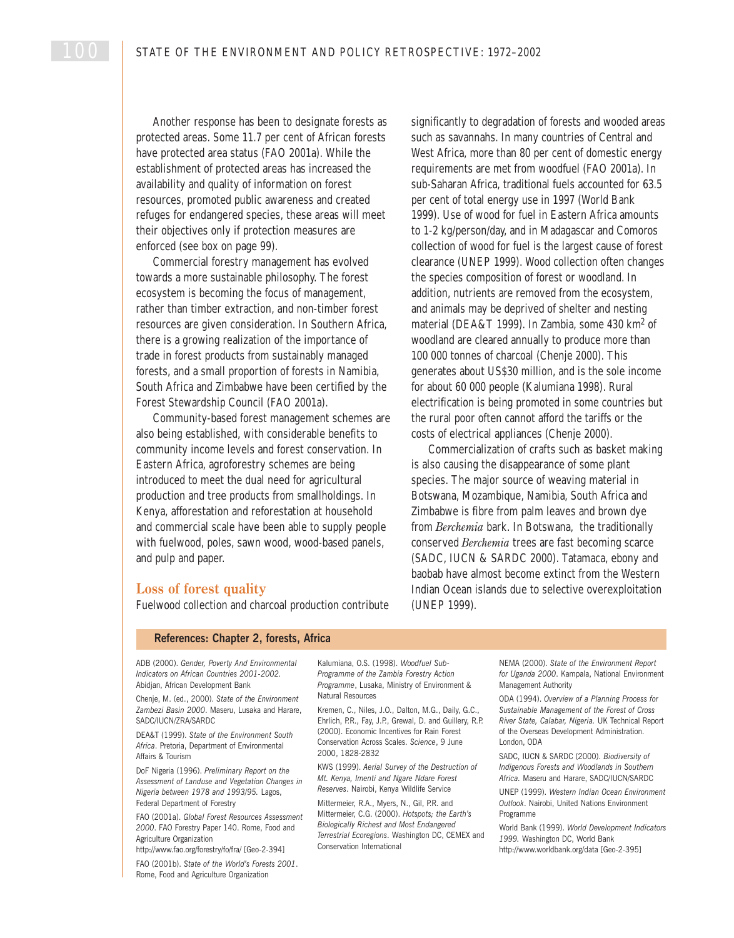Another response has been to designate forests as protected areas. Some 11.7 per cent of African forests have protected area status (FAO 2001a). While the establishment of protected areas has increased the availability and quality of information on forest resources, promoted public awareness and created refuges for endangered species, these areas will meet their objectives only if protection measures are enforced (see box on page 99).

Commercial forestry management has evolved towards a more sustainable philosophy. The forest ecosystem is becoming the focus of management, rather than timber extraction, and non-timber forest resources are given consideration. In Southern Africa, there is a growing realization of the importance of trade in forest products from sustainably managed forests, and a small proportion of forests in Namibia, South Africa and Zimbabwe have been certified by the Forest Stewardship Council (FAO 2001a).

Community-based forest management schemes are also being established, with considerable benefits to community income levels and forest conservation. In Eastern Africa, agroforestry schemes are being introduced to meet the dual need for agricultural production and tree products from smallholdings. In Kenya, afforestation and reforestation at household and commercial scale have been able to supply people with fuelwood, poles, sawn wood, wood-based panels, and pulp and paper.

significantly to degradation of forests and wooded areas such as savannahs. In many countries of Central and West Africa, more than 80 per cent of domestic energy requirements are met from woodfuel (FAO 2001a). In sub-Saharan Africa, traditional fuels accounted for 63.5 per cent of total energy use in 1997 (World Bank 1999). Use of wood for fuel in Eastern Africa amounts to 1-2 kg/person/day, and in Madagascar and Comoros collection of wood for fuel is the largest cause of forest clearance (UNEP 1999). Wood collection often changes the species composition of forest or woodland. In addition, nutrients are removed from the ecosystem, and animals may be deprived of shelter and nesting material (DEA&T 1999). In Zambia, some 430 km2 of woodland are cleared annually to produce more than 100 000 tonnes of charcoal (Chenje 2000). This generates about US\$30 million, and is the sole income for about 60 000 people (Kalumiana 1998). Rural electrification is being promoted in some countries but the rural poor often cannot afford the tariffs or the costs of electrical appliances (Chenje 2000).

Commercialization of crafts such as basket making is also causing the disappearance of some plant species. The major source of weaving material in Botswana, Mozambique, Namibia, South Africa and Zimbabwe is fibre from palm leaves and brown dye from *Berchemia* bark. In Botswana, the traditionally conserved *Berchemia* trees are fast becoming scarce (SADC, IUCN & SARDC 2000). Tatamaca, ebony and baobab have almost become extinct from the Western Indian Ocean islands due to selective overexploitation (UNEP 1999).

### **Loss of forest quality**

Fuelwood collection and charcoal production contribute

### **References: Chapter 2, forests, Africa**

ADB (2000). *Gender, Poverty And Environmental Indicators on African Countries 2001-2002.* Abidjan, African Development Bank

Chenje, M. (ed., 2000). *State of the Environment Zambezi Basin 2000*. Maseru, Lusaka and Harare, SADC/IUCN/ZRA/SARDC

DEA&T (1999). *State of the Environment South Africa*. Pretoria, Department of Environmental Affairs & Tourism

DoF Nigeria (1996). *Preliminary Report on the Assessment of Landuse and Vegetation Changes in Nigeria between 1978 and 1993/95.* Lagos, Federal Department of Forestry

FAO (2001a). *Global Forest Resources Assessment 2000*. FAO Forestry Paper 140. Rome, Food and Agriculture Organization

http://www.fao.org/forestry/fo/fra/ [Geo-2-394]

FAO (2001b). *State of the World's Forests 2001*. Rome, Food and Agriculture Organization

Kalumiana, O.S. (1998). *Woodfuel Sub-Programme of the Zambia Forestry Action Programme*, Lusaka, Ministry of Environment & Natural Resources

Kremen, C., Niles, J.O., Dalton, M.G., Daily, G.C., Ehrlich, P.R., Fay, J.P., Grewal, D. and Guillery, R.P. (2000). Economic Incentives for Rain Forest Conservation Across Scales. *Science*, 9 June 2000, 1828-2832

KWS (1999). *Aerial Survey of the Destruction of Mt. Kenya, Imenti and Ngare Ndare Forest Reserves*. Nairobi, Kenya Wildlife Service

Mittermeier, R.A., Myers, N., Gil, P.R. and Mittermeier, C.G. (2000). *Hotspots; the Earth's Biologically Richest and Most Endangered Terrestrial Ecoregions*. Washington DC, CEMEX and Conservation International

NEMA (2000). *State of the Environment Report for Uganda 2000*. Kampala, National Environment Management Authority

ODA (1994). *Overview of a Planning Process for Sustainable Management of the Forest of Cross River State, Calabar, Nigeria.* UK Technical Report of the Overseas Development Administration. London, ODA

SADC, IUCN & SARDC (2000). *Biodiversity of Indigenous Forests and Woodlands in Southern Africa.* Maseru and Harare, SADC/IUCN/SARDC

UNEP (1999). *Western Indian Ocean Environment Outlook*. Nairobi, United Nations Environment Programme

World Bank (1999). *World Development Indicators 1999.* Washington DC, World Bank http://www.worldbank.org/data [Geo-2-395]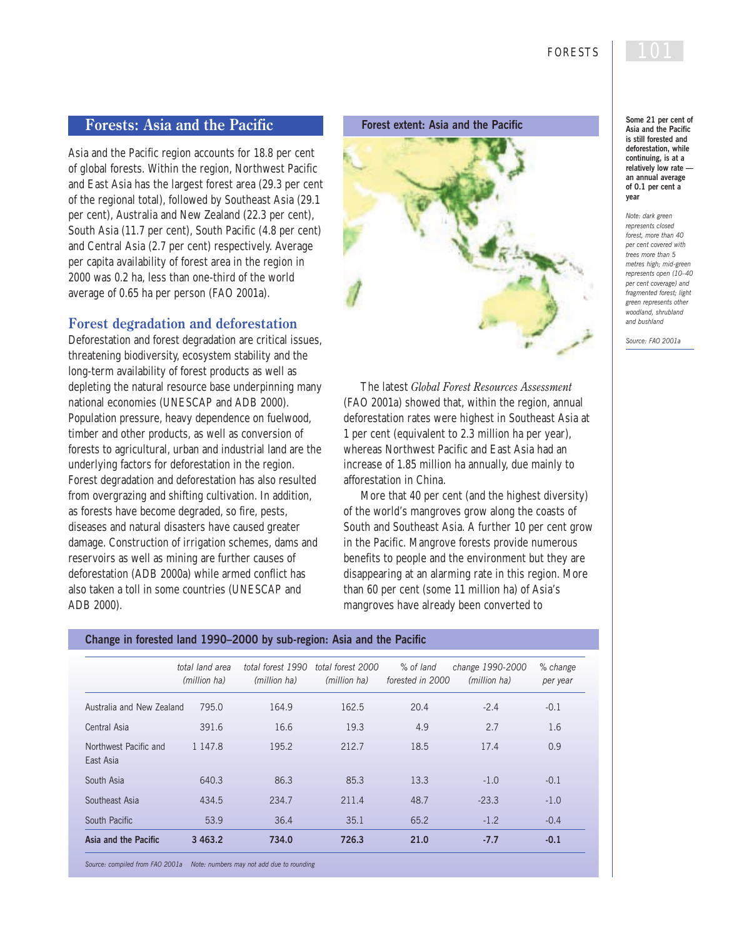### **FORESTS**

**Asia and the Pacific is still forested and deforestation, while continuing, is at a relatively low rate an annual average of 0.1 per cent a year**

*Note: dark green represents closed forest, more than 40 per cent covered with trees more than 5 metres high; mid-green represents open (10–40 per cent coverage) and fragmented forest; light green represents other woodland, shrubland and bushland Source: FAO 2001a*

### **Forests: Asia and the Pacific**

Asia and the Pacific region accounts for 18.8 per cent of global forests. Within the region, Northwest Pacific and East Asia has the largest forest area (29.3 per cent of the regional total), followed by Southeast Asia (29.1 per cent), Australia and New Zealand (22.3 per cent), South Asia (11.7 per cent), South Pacific (4.8 per cent) and Central Asia (2.7 per cent) respectively. Average per capita availability of forest area in the region in 2000 was 0.2 ha, less than one-third of the world average of 0.65 ha per person (FAO 2001a).

### **Forest degradation and deforestation**

Deforestation and forest degradation are critical issues, threatening biodiversity, ecosystem stability and the long-term availability of forest products as well as depleting the natural resource base underpinning many national economies (UNESCAP and ADB 2000). Population pressure, heavy dependence on fuelwood, timber and other products, as well as conversion of forests to agricultural, urban and industrial land are the underlying factors for deforestation in the region. Forest degradation and deforestation has also resulted from overgrazing and shifting cultivation. In addition, as forests have become degraded, so fire, pests, diseases and natural disasters have caused greater damage. Construction of irrigation schemes, dams and reservoirs as well as mining are further causes of deforestation (ADB 2000a) while armed conflict has also taken a toll in some countries (UNESCAP and ADB 2000).

**Forest extent: Asia and the Pacific** 



The latest *Global Forest Resources Assessment* (FAO 2001a) showed that, within the region, annual deforestation rates were highest in Southeast Asia at 1 per cent (equivalent to 2.3 million ha per year), whereas Northwest Pacific and East Asia had an increase of 1.85 million ha annually, due mainly to afforestation in China.

More that 40 per cent (and the highest diversity) of the world's mangroves grow along the coasts of South and Southeast Asia. A further 10 per cent grow in the Pacific. Mangrove forests provide numerous benefits to people and the environment but they are disappearing at an alarming rate in this region. More than 60 per cent (some 11 million ha) of Asia's mangroves have already been converted to

|                                    | total land area<br>(million ha) | total forest 1990<br>(million ha) | total forest 2000<br>(million ha) | % of land<br>forested in 2000 | change 1990-2000<br>(million ha) | % change<br>per year |
|------------------------------------|---------------------------------|-----------------------------------|-----------------------------------|-------------------------------|----------------------------------|----------------------|
| Australia and New Zealand          | 795.0                           | 164.9                             | 162.5                             | 20.4                          | $-2.4$                           | $-0.1$               |
| Central Asia                       | 391.6                           | 16.6                              | 19.3                              | 4.9                           | 2.7                              | 1.6                  |
| Northwest Pacific and<br>East Asia | 1 147.8                         | 195.2                             | 212.7                             | 18.5                          | 17.4                             | 0.9                  |
| South Asia                         | 640.3                           | 86.3                              | 85.3                              | 13.3                          | $-1.0$                           | $-0.1$               |
| Southeast Asia                     | 434.5                           | 234.7                             | 211.4                             | 48.7                          | $-23.3$                          | $-1.0$               |
| South Pacific                      | 53.9                            | 36.4                              | 35.1                              | 65.2                          | $-1.2$                           | $-0.4$               |
| Asia and the Pacific               | 3 4 6 3 . 2                     | 734.0                             | 726.3                             | 21.0                          | $-7.7$                           | $-0.1$               |

### **Change in forested land 1990–2000 by sub-region: Asia and the Pacific**

*Source: compiled from FAO 2001a Note: numbers may not add due to rounding*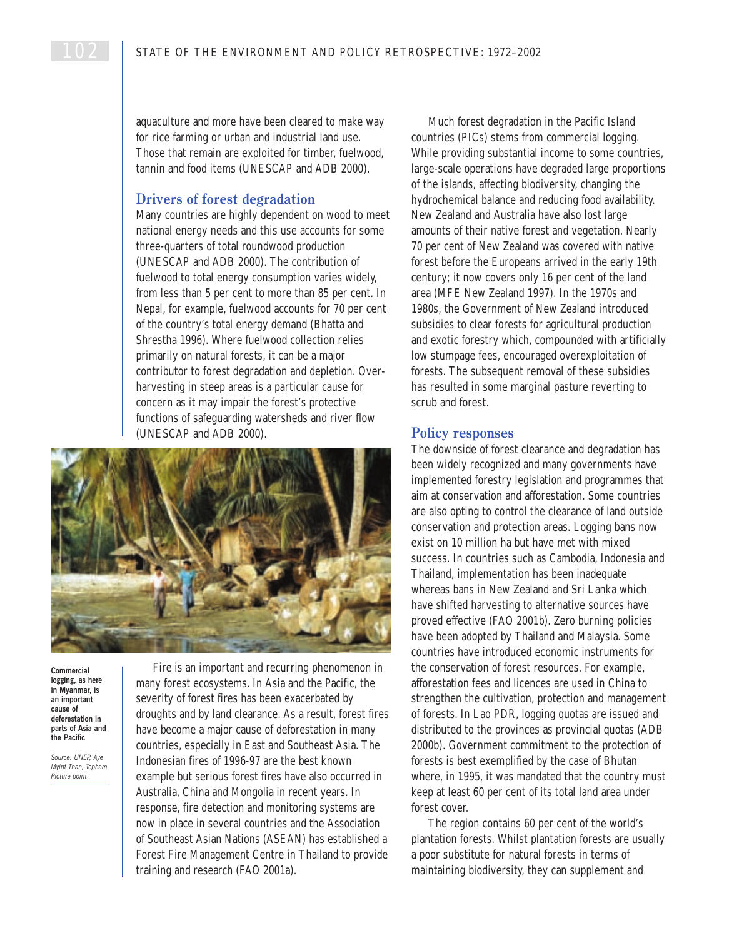aquaculture and more have been cleared to make way for rice farming or urban and industrial land use. Those that remain are exploited for timber, fuelwood, tannin and food items (UNESCAP and ADB 2000).

### **Drivers of forest degradation**

Many countries are highly dependent on wood to meet national energy needs and this use accounts for some three-quarters of total roundwood production (UNESCAP and ADB 2000). The contribution of fuelwood to total energy consumption varies widely, from less than 5 per cent to more than 85 per cent. In Nepal, for example, fuelwood accounts for 70 per cent of the country's total energy demand (Bhatta and Shrestha 1996). Where fuelwood collection relies primarily on natural forests, it can be a major contributor to forest degradation and depletion. Overharvesting in steep areas is a particular cause for concern as it may impair the forest's protective functions of safeguarding watersheds and river flow (UNESCAP and ADB 2000).



**Commercial logging, as here in Myanmar, is an important cause of deforestation in parts of Asia and the Pacific**

*Source: UNEP, Aye Myint Than, Topham Picture point*

Fire is an important and recurring phenomenon in many forest ecosystems. In Asia and the Pacific, the severity of forest fires has been exacerbated by droughts and by land clearance. As a result, forest fires have become a major cause of deforestation in many countries, especially in East and Southeast Asia. The Indonesian fires of 1996-97 are the best known example but serious forest fires have also occurred in Australia, China and Mongolia in recent years. In response, fire detection and monitoring systems are now in place in several countries and the Association of Southeast Asian Nations (ASEAN) has established a Forest Fire Management Centre in Thailand to provide training and research (FAO 2001a).

Much forest degradation in the Pacific Island countries (PICs) stems from commercial logging. While providing substantial income to some countries, large-scale operations have degraded large proportions of the islands, affecting biodiversity, changing the hydrochemical balance and reducing food availability. New Zealand and Australia have also lost large amounts of their native forest and vegetation. Nearly 70 per cent of New Zealand was covered with native forest before the Europeans arrived in the early 19th century; it now covers only 16 per cent of the land area (MFE New Zealand 1997). In the 1970s and 1980s, the Government of New Zealand introduced subsidies to clear forests for agricultural production and exotic forestry which, compounded with artificially low stumpage fees, encouraged overexploitation of forests. The subsequent removal of these subsidies has resulted in some marginal pasture reverting to scrub and forest.

### **Policy responses**

The downside of forest clearance and degradation has been widely recognized and many governments have implemented forestry legislation and programmes that aim at conservation and afforestation. Some countries are also opting to control the clearance of land outside conservation and protection areas. Logging bans now exist on 10 million ha but have met with mixed success. In countries such as Cambodia, Indonesia and Thailand, implementation has been inadequate whereas bans in New Zealand and Sri Lanka which have shifted harvesting to alternative sources have proved effective (FAO 2001b). Zero burning policies have been adopted by Thailand and Malaysia. Some countries have introduced economic instruments for the conservation of forest resources. For example, afforestation fees and licences are used in China to strengthen the cultivation, protection and management of forests. In Lao PDR, logging quotas are issued and distributed to the provinces as provincial quotas (ADB 2000b). Government commitment to the protection of forests is best exemplified by the case of Bhutan where, in 1995, it was mandated that the country must keep at least 60 per cent of its total land area under forest cover.

The region contains 60 per cent of the world's plantation forests. Whilst plantation forests are usually a poor substitute for natural forests in terms of maintaining biodiversity, they can supplement and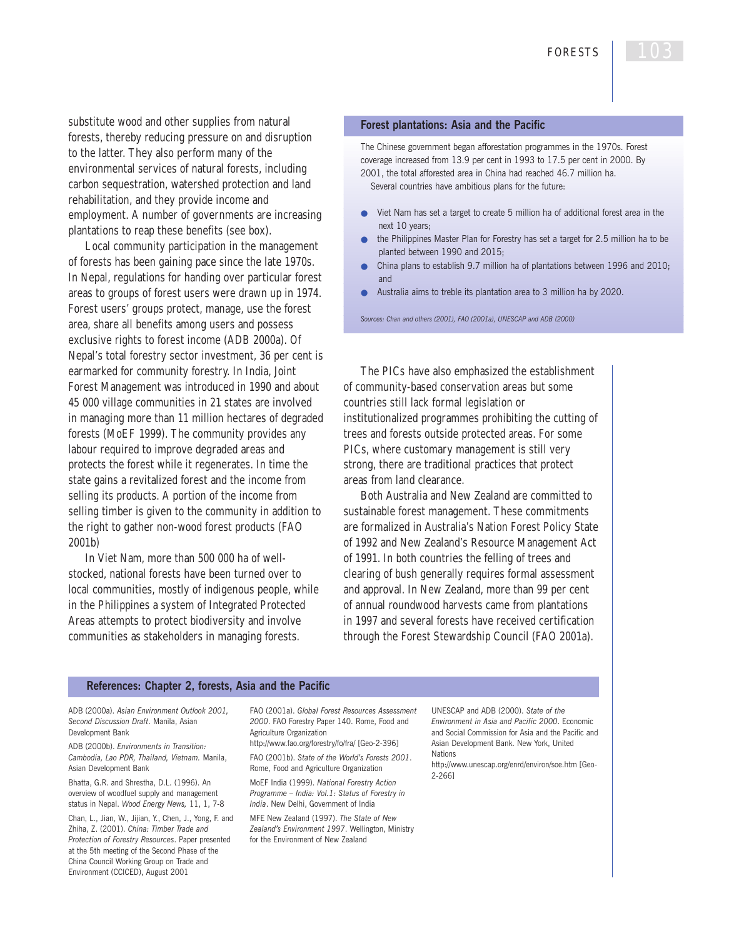**FORESTS** 

substitute wood and other supplies from natural forests, thereby reducing pressure on and disruption to the latter. They also perform many of the environmental services of natural forests, including carbon sequestration, watershed protection and land rehabilitation, and they provide income and employment. A number of governments are increasing plantations to reap these benefits (see box).

Local community participation in the management of forests has been gaining pace since the late 1970s. In Nepal, regulations for handing over particular forest areas to groups of forest users were drawn up in 1974. Forest users' groups protect, manage, use the forest area, share all benefits among users and possess exclusive rights to forest income (ADB 2000a). Of Nepal's total forestry sector investment, 36 per cent is earmarked for community forestry. In India, Joint Forest Management was introduced in 1990 and about 45 000 village communities in 21 states are involved in managing more than 11 million hectares of degraded forests (MoEF 1999). The community provides any labour required to improve degraded areas and protects the forest while it regenerates. In time the state gains a revitalized forest and the income from selling its products. A portion of the income from selling timber is given to the community in addition to the right to gather non-wood forest products (FAO 2001b)

In Viet Nam, more than 500 000 ha of wellstocked, national forests have been turned over to local communities, mostly of indigenous people, while in the Philippines a system of Integrated Protected Areas attempts to protect biodiversity and involve communities as stakeholders in managing forests.

### **Forest plantations: Asia and the Pacific**

The Chinese government began afforestation programmes in the 1970s. Forest coverage increased from 13.9 per cent in 1993 to 17.5 per cent in 2000. By 2001, the total afforested area in China had reached 46.7 million ha. Several countries have ambitious plans for the future:

- Viet Nam has set a target to create 5 million ha of additional forest area in the next 10 years;
- the Philippines Master Plan for Forestry has set a target for 2.5 million ha to be planted between 1990 and 2015;
- China plans to establish 9.7 million ha of plantations between 1996 and 2010; and
- Australia aims to treble its plantation area to 3 million ha by 2020.

*Sources: Chan and others (2001), FAO (2001a), UNESCAP and ADB (2000)* 

The PICs have also emphasized the establishment of community-based conservation areas but some countries still lack formal legislation or institutionalized programmes prohibiting the cutting of trees and forests outside protected areas. For some PICs, where customary management is still very strong, there are traditional practices that protect areas from land clearance.

Both Australia and New Zealand are committed to sustainable forest management. These commitments are formalized in Australia's Nation Forest Policy State of 1992 and New Zealand's Resource Management Act of 1991. In both countries the felling of trees and clearing of bush generally requires formal assessment and approval. In New Zealand, more than 99 per cent of annual roundwood harvests came from plantations in 1997 and several forests have received certification through the Forest Stewardship Council (FAO 2001a).

### **References: Chapter 2, forests, Asia and the Pacific**

ADB (2000a). *Asian Environment Outlook 2001, Second Discussion Draft*. Manila, Asian Development Bank

ADB (2000b). *Environments in Transition: Cambodia, Lao PDR, Thailand, Vietnam.* Manila, Asian Development Bank

Bhatta, G.R. and Shrestha, D.L. (1996). An overview of woodfuel supply and management status in Nepal. *Wood Energy News,* 11, 1, 7-8

Chan, L., Jian, W., Jijian, Y., Chen, J., Yong, F. and Zhiha, Z. (2001). *China: Timber Trade and Protection of Forestry Resources*. Paper presented at the 5th meeting of the Second Phase of the China Council Working Group on Trade and Environment (CCICED), August 2001

FAO (2001a). *Global Forest Resources Assessment 2000*. FAO Forestry Paper 140. Rome, Food and Agriculture Organization

http://www.fao.org/forestry/fo/fra/ [Geo-2-396] FAO (2001b). *State of the World's Forests 2001*.

Rome, Food and Agriculture Organization MoEF India (1999). *National Forestry Action Programme – India: Vol.1: Status of Forestry in India*. New Delhi, Government of India

MFE New Zealand (1997). *The State of New Zealand's Environment 1997*. Wellington, Ministry for the Environment of New Zealand

UNESCAP and ADB (2000). *State of the Environment in Asia and Pacific 2000*. Economic and Social Commission for Asia and the Pacific and Asian Development Bank. New York, United Nations

http://www.unescap.org/enrd/environ/soe.htm [Geo-2-266]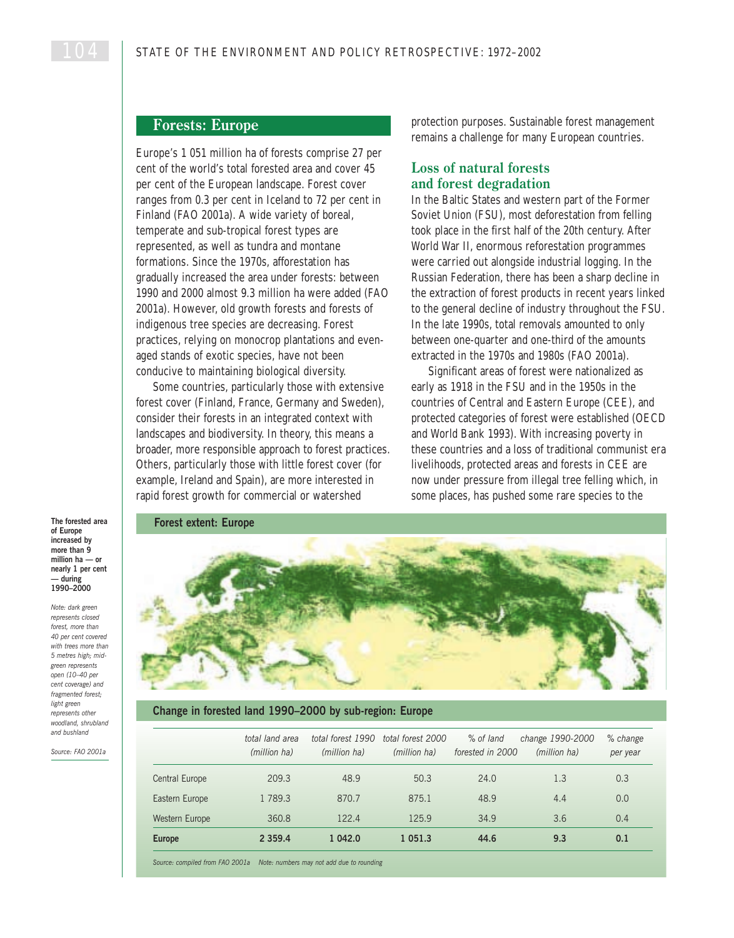### **Forests: Europe**

Europe's 1 051 million ha of forests comprise 27 per cent of the world's total forested area and cover 45 per cent of the European landscape. Forest cover ranges from 0.3 per cent in Iceland to 72 per cent in Finland (FAO 2001a). A wide variety of boreal, temperate and sub-tropical forest types are represented, as well as tundra and montane formations. Since the 1970s, afforestation has gradually increased the area under forests: between 1990 and 2000 almost 9.3 million ha were added (FAO 2001a). However, old growth forests and forests of indigenous tree species are decreasing. Forest practices, relying on monocrop plantations and evenaged stands of exotic species, have not been conducive to maintaining biological diversity.

Some countries, particularly those with extensive forest cover (Finland, France, Germany and Sweden), consider their forests in an integrated context with landscapes and biodiversity. In theory, this means a broader, more responsible approach to forest practices. Others, particularly those with little forest cover (for example, Ireland and Spain), are more interested in rapid forest growth for commercial or watershed

protection purposes. Sustainable forest management remains a challenge for many European countries.

### **Loss of natural forests and forest degradation**

In the Baltic States and western part of the Former Soviet Union (FSU), most deforestation from felling took place in the first half of the 20th century. After World War II, enormous reforestation programmes were carried out alongside industrial logging. In the Russian Federation, there has been a sharp decline in the extraction of forest products in recent years linked to the general decline of industry throughout the FSU. In the late 1990s, total removals amounted to only between one-quarter and one-third of the amounts extracted in the 1970s and 1980s (FAO 2001a).

Significant areas of forest were nationalized as early as 1918 in the FSU and in the 1950s in the countries of Central and Eastern Europe (CEE), and protected categories of forest were established (OECD and World Bank 1993). With increasing poverty in these countries and a loss of traditional communist era livelihoods, protected areas and forests in CEE are now under pressure from illegal tree felling which, in some places, has pushed some rare species to the

**increased by more than 9 million ha — or nearly 1 per cent — during 1990–2000**

*Note: dark green represents closed forest, more than 40 per cent covered with trees more than 5 metres high; midgreen represents open (10–40 per cent coverage) and fragmented forest; light green represents other woodland, shrubland and bushland*

*Source: FAO 2001a*



### **Change in forested land 1990–2000 by sub-region: Europe**

| Central Europe | (million ha)<br>209.3 | (million ha)<br>48.9 | (million ha)<br>50.3 | forested in 2000<br>24.0 | (million ha)<br>1.3 | per year<br>0.3 |
|----------------|-----------------------|----------------------|----------------------|--------------------------|---------------------|-----------------|
| Eastern Europe | 1 789.3               | 870.7                | 875.1                | 48.9                     | 4.4                 | 0.0             |
| Western Europe | 360.8                 | 122.4                | 125.9                | 34.9                     | 3.6                 | 0.4             |
| <b>Europe</b>  | 2 3 5 9 . 4           | 1 042.0              | 1 051.3              | 44.6                     | 9.3                 | 0.1             |

*Source: compiled from FAO 2001a Note: numbers may not add due to rounding*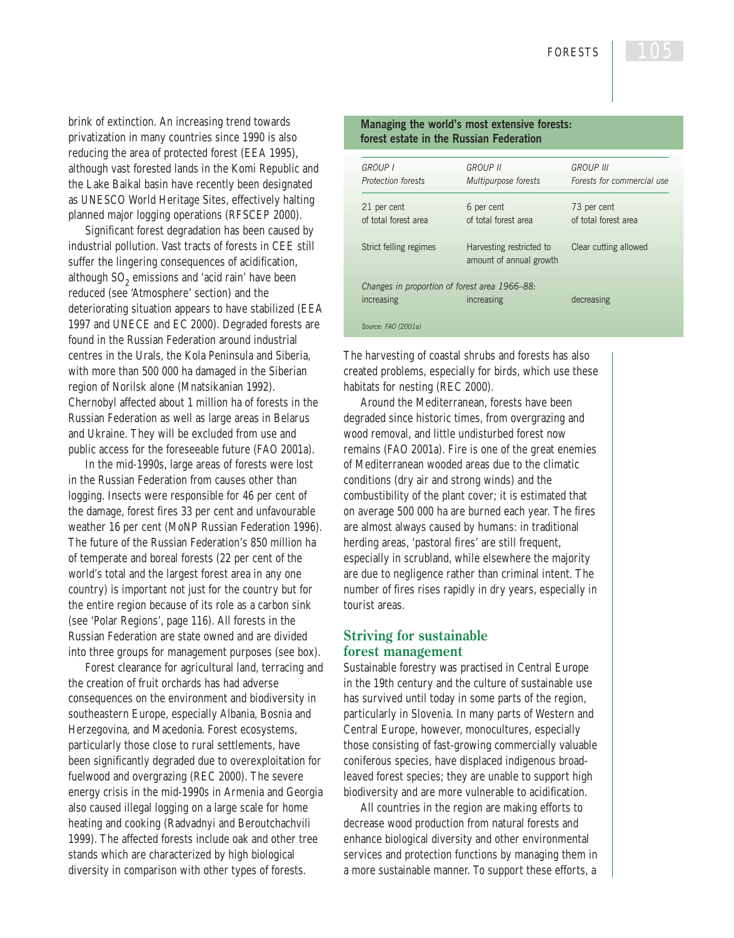brink of extinction. An increasing trend towards privatization in many countries since 1990 is also reducing the area of protected forest (EEA 1995), although vast forested lands in the Komi Republic and the Lake Baikal basin have recently been designated as UNESCO World Heritage Sites, effectively halting

planned major logging operations (RFSCEP 2000).

Significant forest degradation has been caused by industrial pollution. Vast tracts of forests in CEE still suffer the lingering consequences of acidification, although SO<sub>2</sub> emissions and 'acid rain' have been reduced (see 'Atmosphere' section) and the deteriorating situation appears to have stabilized (EEA 1997 and UNECE and EC 2000). Degraded forests are found in the Russian Federation around industrial centres in the Urals, the Kola Peninsula and Siberia, with more than 500 000 ha damaged in the Siberian region of Norilsk alone (Mnatsikanian 1992). Chernobyl affected about 1 million ha of forests in the Russian Federation as well as large areas in Belarus and Ukraine. They will be excluded from use and public access for the foreseeable future (FAO 2001a).

In the mid-1990s, large areas of forests were lost in the Russian Federation from causes other than logging. Insects were responsible for 46 per cent of the damage, forest fires 33 per cent and unfavourable weather 16 per cent (MoNP Russian Federation 1996). The future of the Russian Federation's 850 million ha of temperate and boreal forests (22 per cent of the world's total and the largest forest area in any one country) is important not just for the country but for the entire region because of its role as a carbon sink (see 'Polar Regions', page 116). All forests in the Russian Federation are state owned and are divided into three groups for management purposes (see box).

Forest clearance for agricultural land, terracing and the creation of fruit orchards has had adverse consequences on the environment and biodiversity in southeastern Europe, especially Albania, Bosnia and Herzegovina, and Macedonia. Forest ecosystems, particularly those close to rural settlements, have been significantly degraded due to overexploitation for fuelwood and overgrazing (REC 2000). The severe energy crisis in the mid-1990s in Armenia and Georgia also caused illegal logging on a large scale for home heating and cooking (Radvadnyi and Beroutchachvili 1999). The affected forests include oak and other tree stands which are characterized by high biological diversity in comparison with other types of forests.

| <b>GROUP I</b>                                | <b>GROUP II</b>                                     | <b>GROUP III</b>           |
|-----------------------------------------------|-----------------------------------------------------|----------------------------|
| <b>Protection forests</b>                     | Multipurpose forests                                | Forests for commercial use |
| 21 per cent                                   | 6 per cent                                          | 73 per cent                |
| of total forest area                          | of total forest area                                | of total forest area       |
| Strict felling regimes                        | Harvesting restricted to<br>amount of annual growth | Clear cutting allowed      |
| Changes in proportion of forest area 1966–88: |                                                     |                            |
| increasing                                    | increasing                                          | decreasing                 |
| Source: FAO (2001a)                           |                                                     |                            |

The harvesting of coastal shrubs and forests has also created problems, especially for birds, which use these habitats for nesting (REC 2000).

**Managing the world's most extensive forests: forest estate in the Russian Federation**

Around the Mediterranean, forests have been degraded since historic times, from overgrazing and wood removal, and little undisturbed forest now remains (FAO 2001a). Fire is one of the great enemies of Mediterranean wooded areas due to the climatic conditions (dry air and strong winds) and the combustibility of the plant cover; it is estimated that on average 500 000 ha are burned each year. The fires are almost always caused by humans: in traditional herding areas, 'pastoral fires' are still frequent, especially in scrubland, while elsewhere the majority are due to negligence rather than criminal intent. The number of fires rises rapidly in dry years, especially in tourist areas.

### **Striving for sustainable forest management**

Sustainable forestry was practised in Central Europe in the 19th century and the culture of sustainable use has survived until today in some parts of the region, particularly in Slovenia. In many parts of Western and Central Europe, however, monocultures, especially those consisting of fast-growing commercially valuable coniferous species, have displaced indigenous broadleaved forest species; they are unable to support high biodiversity and are more vulnerable to acidification.

All countries in the region are making efforts to decrease wood production from natural forests and enhance biological diversity and other environmental services and protection functions by managing them in a more sustainable manner. To support these efforts, a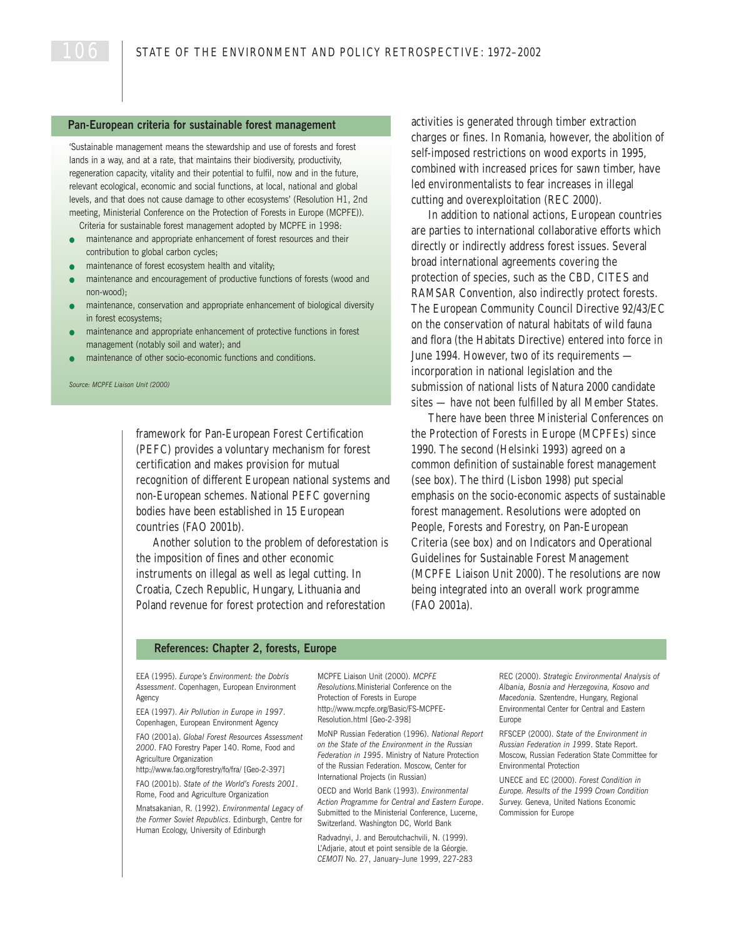### **Pan-European criteria for sustainable forest management**

'Sustainable management means the stewardship and use of forests and forest lands in a way, and at a rate, that maintains their biodiversity, productivity, regeneration capacity, vitality and their potential to fulfil, now and in the future, relevant ecological, economic and social functions, at local, national and global levels, and that does not cause damage to other ecosystems' (Resolution H1, 2nd meeting, Ministerial Conference on the Protection of Forests in Europe (MCPFE)).

Criteria for sustainable forest management adopted by MCPFE in 1998:

- maintenance and appropriate enhancement of forest resources and their contribution to global carbon cycles;
- maintenance of forest ecosystem health and vitality;
- maintenance and encouragement of productive functions of forests (wood and non-wood);
- maintenance, conservation and appropriate enhancement of biological diversity in forest ecosystems;
- maintenance and appropriate enhancement of protective functions in forest management (notably soil and water); and
- maintenance of other socio-economic functions and conditions.

*Source: MCPFE Liaison Unit (2000)*

framework for Pan-European Forest Certification (PEFC) provides a voluntary mechanism for forest certification and makes provision for mutual recognition of different European national systems and non-European schemes. National PEFC governing bodies have been established in 15 European countries (FAO 2001b).

Another solution to the problem of deforestation is the imposition of fines and other economic instruments on illegal as well as legal cutting. In Croatia, Czech Republic, Hungary, Lithuania and Poland revenue for forest protection and reforestation

activities is generated through timber extraction charges or fines. In Romania, however, the abolition of self-imposed restrictions on wood exports in 1995, combined with increased prices for sawn timber, have led environmentalists to fear increases in illegal cutting and overexploitation (REC 2000).

In addition to national actions, European countries are parties to international collaborative efforts which directly or indirectly address forest issues. Several broad international agreements covering the protection of species, such as the CBD, CITES and RAMSAR Convention, also indirectly protect forests. The European Community Council Directive 92/43/EC on the conservation of natural habitats of wild fauna and flora (the Habitats Directive) entered into force in June 1994. However, two of its requirements incorporation in national legislation and the submission of national lists of Natura 2000 candidate sites — have not been fulfilled by all Member States.

There have been three Ministerial Conferences on the Protection of Forests in Europe (MCPFEs) since 1990. The second (Helsinki 1993) agreed on a common definition of sustainable forest management (see box). The third (Lisbon 1998) put special emphasis on the socio-economic aspects of sustainable forest management. Resolutions were adopted on People, Forests and Forestry, on Pan-European Criteria (see box) and on Indicators and Operational Guidelines for Sustainable Forest Management (MCPFE Liaison Unit 2000). The resolutions are now being integrated into an overall work programme (FAO 2001a).

### **References: Chapter 2, forests, Europe**

EEA (1995). *Europe's Environment: the Dobrís Assessment*. Copenhagen, European Environment Agency

EEA (1997). *Air Pollution in Europe in 1997*. Copenhagen, European Environment Agency

FAO (2001a). *Global Forest Resources Assessment 2000*. FAO Forestry Paper 140. Rome, Food and Agriculture Organization

http://www.fao.org/forestry/fo/fra/ [Geo-2-397] FAO (2001b). *State of the World's Forests 2001*. Rome, Food and Agriculture Organization

Mnatsakanian, R. (1992). *Environmental Legacy of the Former Soviet Republics*. Edinburgh, Centre for Human Ecology, University of Edinburgh

MCPFE Liaison Unit (2000). *MCPFE Resolutions.*Ministerial Conference on the Protection of Forests in Europe http://www.mcpfe.org/Basic/FS-MCPFE-Resolution.html [Geo-2-398]

MoNP Russian Federation (1996). *National Report on the State of the Environment in the Russian Federation in 1995*. Ministry of Nature Protection of the Russian Federation. Moscow, Center for International Projects (in Russian)

OECD and World Bank (1993). *Environmental Action Programme for Central and Eastern Europe*. Submitted to the Ministerial Conference, Lucerne, Switzerland. Washington DC, World Bank

Radvadnyi, J. and Beroutchachvili, N. (1999). L'Adjarie, atout et point sensible de la Géorgie. *CEMOTI* No. 27, January–June 1999, 227-283

REC (2000). *Strategic Environmental Analysis of Albania, Bosnia and Herzegovina, Kosovo and Macedonia.* Szentendre, Hungary, Regional Environmental Center for Central and Eastern Europe

RFSCEP (2000). *State of the Environment in Russian Federation in 1999*. State Report. Moscow, Russian Federation State Committee for Environmental Protection

UNECE and EC (2000). *Forest Condition in Europe. Results of the 1999 Crown Condition Survey.* Geneva, United Nations Economic Commission for Europe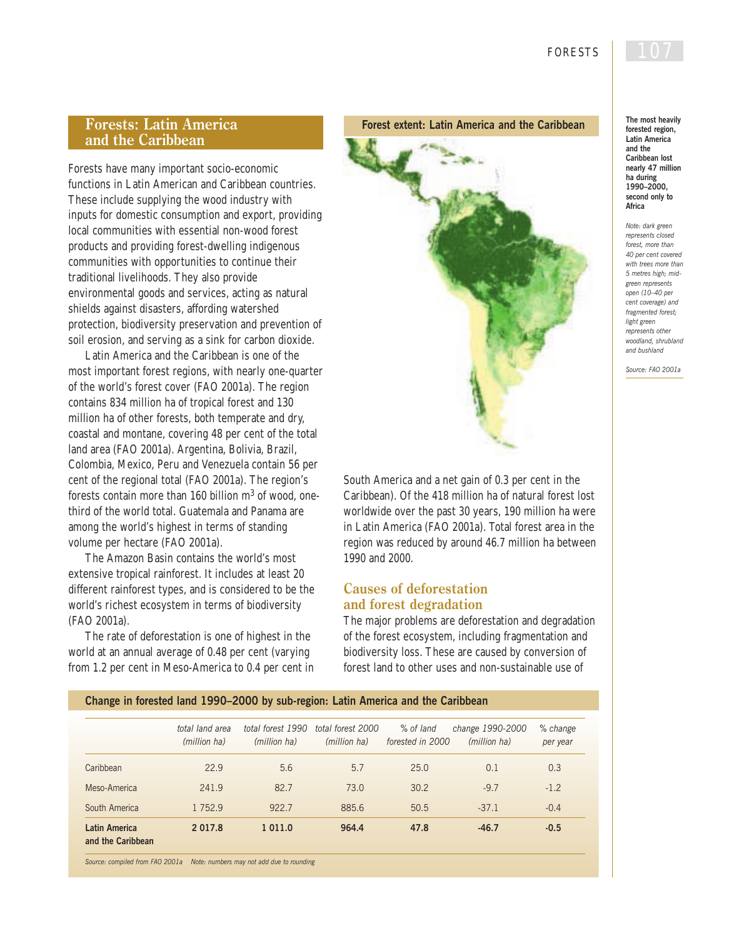### **FORESTS**

**forested region, Latin America and the Caribbean lost nearly 47 million ha during 1990–2000, second only to Africa** *Note: dark green represents closed forest, more than 40 per cent covered with trees more than 5 metres high; midgreen represents open (10–40 per cent coverage) and fragmented forest; light green represents other woodland, shrubland and bushland Source: FAO 2001a*

### **Forests: Latin America and the Caribbean**

Forests have many important socio-economic functions in Latin American and Caribbean countries. These include supplying the wood industry with inputs for domestic consumption and export, providing local communities with essential non-wood forest products and providing forest-dwelling indigenous communities with opportunities to continue their traditional livelihoods. They also provide environmental goods and services, acting as natural shields against disasters, affording watershed protection, biodiversity preservation and prevention of soil erosion, and serving as a sink for carbon dioxide.

Latin America and the Caribbean is one of the most important forest regions, with nearly one-quarter of the world's forest cover (FAO 2001a). The region contains 834 million ha of tropical forest and 130 million ha of other forests, both temperate and dry, coastal and montane, covering 48 per cent of the total land area (FAO 2001a). Argentina, Bolivia, Brazil, Colombia, Mexico, Peru and Venezuela contain 56 per cent of the regional total (FAO 2001a). The region's forests contain more than 160 billion  $m<sup>3</sup>$  of wood, onethird of the world total. Guatemala and Panama are among the world's highest in terms of standing volume per hectare (FAO 2001a).

The Amazon Basin contains the world's most extensive tropical rainforest. It includes at least 20 different rainforest types, and is considered to be the world's richest ecosystem in terms of biodiversity (FAO 2001a).

The rate of deforestation is one of highest in the world at an annual average of 0.48 per cent (varying from 1.2 per cent in Meso-America to 0.4 per cent in **Forest extent: Latin America and the Caribbean** 



South America and a net gain of 0.3 per cent in the Caribbean). Of the 418 million ha of natural forest lost worldwide over the past 30 years, 190 million ha were in Latin America (FAO 2001a). Total forest area in the region was reduced by around 46.7 million ha between 1990 and 2000.

### **Causes of deforestation and forest degradation**

The major problems are deforestation and degradation of the forest ecosystem, including fragmentation and biodiversity loss. These are caused by conversion of forest land to other uses and non-sustainable use of

| Change in forested land 1990-2000 by sub-region: Latin America and the Caribbean |  |
|----------------------------------------------------------------------------------|--|
|                                                                                  |  |

|                                                                           | total land area<br>(million ha) | total forest 1990<br>(million ha) | total forest 2000<br>(million ha) | % of land<br>forested in 2000 | change 1990-2000<br>(million ha) | % change<br>per year |
|---------------------------------------------------------------------------|---------------------------------|-----------------------------------|-----------------------------------|-------------------------------|----------------------------------|----------------------|
| Caribbean                                                                 | 22.9                            | 5.6                               | 5.7                               | 25.0                          | 0.1                              | 0.3                  |
| Meso-America                                                              | 241.9                           | 82.7                              | 73.0                              | 30.2                          | $-9.7$                           | $-1.2$               |
| South America                                                             | 1 752.9                         | 922.7                             | 885.6                             | 50.5                          | $-37.1$                          | $-0.4$               |
| Latin America<br>and the Caribbean                                        | 2 0 1 7 . 8                     | 1011.0                            | 964.4                             | 47.8                          | $-46.7$                          | $-0.5$               |
| Sauroe, compiled from EAO 2001a Note, numbers may not add due to reunding |                                 |                                   |                                   |                               |                                  |                      |

*Source: compiled from FAO 2001a Note: numbers may not add due to rounding*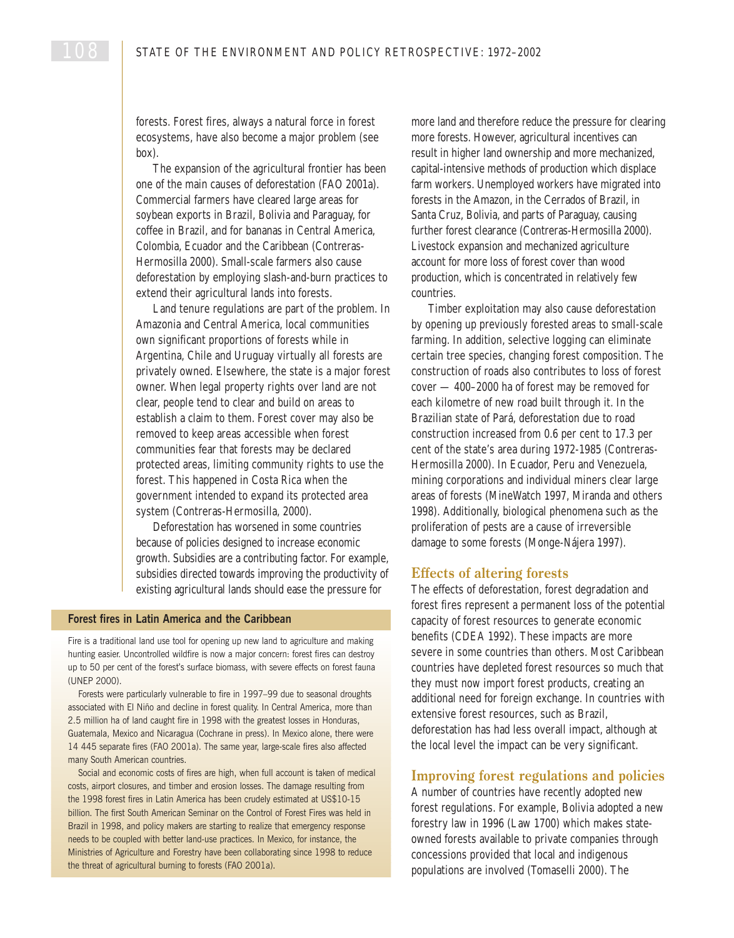forests. Forest fires, always a natural force in forest ecosystems, have also become a major problem (see box).

The expansion of the agricultural frontier has been one of the main causes of deforestation (FAO 2001a). Commercial farmers have cleared large areas for soybean exports in Brazil, Bolivia and Paraguay, for coffee in Brazil, and for bananas in Central America, Colombia, Ecuador and the Caribbean (Contreras-Hermosilla 2000). Small-scale farmers also cause deforestation by employing slash-and-burn practices to extend their agricultural lands into forests.

Land tenure regulations are part of the problem. In Amazonia and Central America, local communities own significant proportions of forests while in Argentina, Chile and Uruguay virtually all forests are privately owned. Elsewhere, the state is a major forest owner. When legal property rights over land are not clear, people tend to clear and build on areas to establish a claim to them. Forest cover may also be removed to keep areas accessible when forest communities fear that forests may be declared protected areas, limiting community rights to use the forest. This happened in Costa Rica when the government intended to expand its protected area system (Contreras-Hermosilla, 2000).

Deforestation has worsened in some countries because of policies designed to increase economic growth. Subsidies are a contributing factor. For example, subsidies directed towards improving the productivity of existing agricultural lands should ease the pressure for

### **Forest fires in Latin America and the Caribbean**

Fire is a traditional land use tool for opening up new land to agriculture and making hunting easier. Uncontrolled wildfire is now a major concern: forest fires can destroy up to 50 per cent of the forest's surface biomass, with severe effects on forest fauna (UNEP 2000).

Forests were particularly vulnerable to fire in 1997–99 due to seasonal droughts associated with El Niño and decline in forest quality. In Central America, more than 2.5 million ha of land caught fire in 1998 with the greatest losses in Honduras, Guatemala, Mexico and Nicaragua (Cochrane in press). In Mexico alone, there were 14 445 separate fires (FAO 2001a). The same year, large-scale fires also affected many South American countries.

Social and economic costs of fires are high, when full account is taken of medical costs, airport closures, and timber and erosion losses. The damage resulting from the 1998 forest fires in Latin America has been crudely estimated at US\$10-15 billion. The first South American Seminar on the Control of Forest Fires was held in Brazil in 1998, and policy makers are starting to realize that emergency response needs to be coupled with better land-use practices. In Mexico, for instance, the Ministries of Agriculture and Forestry have been collaborating since 1998 to reduce the threat of agricultural burning to forests (FAO 2001a).

more land and therefore reduce the pressure for clearing more forests. However, agricultural incentives can result in higher land ownership and more mechanized, capital-intensive methods of production which displace farm workers. Unemployed workers have migrated into forests in the Amazon, in the Cerrados of Brazil, in Santa Cruz, Bolivia, and parts of Paraguay, causing further forest clearance (Contreras-Hermosilla 2000). Livestock expansion and mechanized agriculture account for more loss of forest cover than wood production, which is concentrated in relatively few countries.

Timber exploitation may also cause deforestation by opening up previously forested areas to small-scale farming. In addition, selective logging can eliminate certain tree species, changing forest composition. The construction of roads also contributes to loss of forest cover — 400–2000 ha of forest may be removed for each kilometre of new road built through it. In the Brazilian state of Pará, deforestation due to road construction increased from 0.6 per cent to 17.3 per cent of the state's area during 1972-1985 (Contreras-Hermosilla 2000). In Ecuador, Peru and Venezuela, mining corporations and individual miners clear large areas of forests (MineWatch 1997, Miranda and others 1998). Additionally, biological phenomena such as the proliferation of pests are a cause of irreversible damage to some forests (Monge-Nájera 1997).

### **Effects of altering forests**

The effects of deforestation, forest degradation and forest fires represent a permanent loss of the potential capacity of forest resources to generate economic benefits (CDEA 1992). These impacts are more severe in some countries than others. Most Caribbean countries have depleted forest resources so much that they must now import forest products, creating an additional need for foreign exchange. In countries with extensive forest resources, such as Brazil, deforestation has had less overall impact, although at the local level the impact can be very significant.

### **Improving forest regulations and policies**

A number of countries have recently adopted new forest regulations. For example, Bolivia adopted a new forestry law in 1996 (Law 1700) which makes stateowned forests available to private companies through concessions provided that local and indigenous populations are involved (Tomaselli 2000). The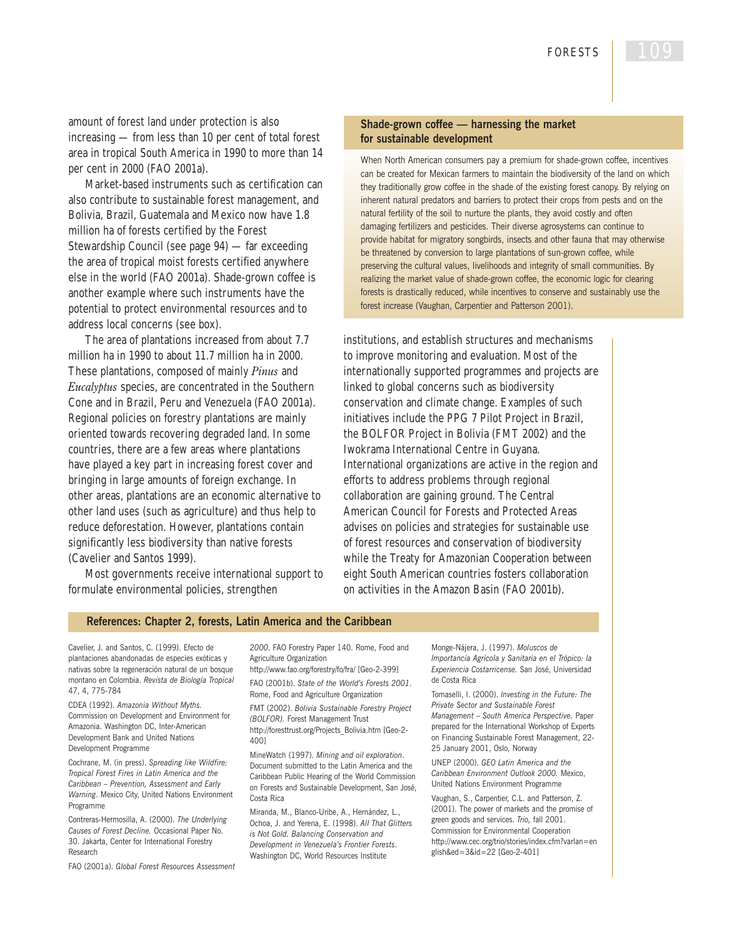amount of forest land under protection is also increasing — from less than 10 per cent of total forest area in tropical South America in 1990 to more than 14 per cent in 2000 (FAO 2001a).

Market-based instruments such as certification can also contribute to sustainable forest management, and Bolivia, Brazil, Guatemala and Mexico now have 1.8 million ha of forests certified by the Forest Stewardship Council (see page 94) — far exceeding the area of tropical moist forests certified anywhere else in the world (FAO 2001a). Shade-grown coffee is another example where such instruments have the potential to protect environmental resources and to address local concerns (see box).

The area of plantations increased from about 7.7 million ha in 1990 to about 11.7 million ha in 2000. These plantations, composed of mainly *Pinus* and *Eucalyptus* species, are concentrated in the Southern Cone and in Brazil, Peru and Venezuela (FAO 2001a). Regional policies on forestry plantations are mainly oriented towards recovering degraded land. In some countries, there are a few areas where plantations have played a key part in increasing forest cover and bringing in large amounts of foreign exchange. In other areas, plantations are an economic alternative to other land uses (such as agriculture) and thus help to reduce deforestation. However, plantations contain significantly less biodiversity than native forests (Cavelier and Santos 1999).

Most governments receive international support to formulate environmental policies, strengthen

### **Shade-grown coffee — harnessing the market for sustainable development**

When North American consumers pay a premium for shade-grown coffee, incentives can be created for Mexican farmers to maintain the biodiversity of the land on which they traditionally grow coffee in the shade of the existing forest canopy. By relying on inherent natural predators and barriers to protect their crops from pests and on the natural fertility of the soil to nurture the plants, they avoid costly and often damaging fertilizers and pesticides. Their diverse agrosystems can continue to provide habitat for migratory songbirds, insects and other fauna that may otherwise be threatened by conversion to large plantations of sun-grown coffee, while preserving the cultural values, livelihoods and integrity of small communities. By realizing the market value of shade-grown coffee, the economic logic for clearing forests is drastically reduced, while incentives to conserve and sustainably use the forest increase (Vaughan, Carpentier and Patterson 2001).

institutions, and establish structures and mechanisms to improve monitoring and evaluation. Most of the internationally supported programmes and projects are linked to global concerns such as biodiversity conservation and climate change. Examples of such initiatives include the PPG 7 Pilot Project in Brazil, the BOLFOR Project in Bolivia (FMT 2002) and the Iwokrama International Centre in Guyana. International organizations are active in the region and efforts to address problems through regional collaboration are gaining ground. The Central American Council for Forests and Protected Areas advises on policies and strategies for sustainable use of forest resources and conservation of biodiversity while the Treaty for Amazonian Cooperation between eight South American countries fosters collaboration on activities in the Amazon Basin (FAO 2001b).

### **References: Chapter 2, forests, Latin America and the Caribbean**

Cavelier, J. and Santos, C. (1999). Efecto de plantaciones abandonadas de especies exóticas y nativas sobre la regeneración natural de un bosque montano en Colombia. *Revista de Biología Tropical* 47, 4, 775-784

CDEA (1992). *Amazonia Without Myths.* Commission on Development and Environment for Amazonia. Washington DC, Inter-American Development Bank and United Nations Development Programme

Cochrane, M. (in press). *Spreading like Wildfire: Tropical Forest Fires in Latin America and the Caribbean – Prevention, Assessment and Early Warning*. Mexico City, United Nations Environment Programme

Contreras-Hermosilla, A. (2000). *The Underlying Causes of Forest Decline.* Occasional Paper No. 30. Jakarta, Center for International Forestry Research

FAO (2001a). *Global Forest Resources Assessment*

*2000*. FAO Forestry Paper 140. Rome, Food and Agriculture Organization

http://www.fao.org/forestry/fo/fra/ [Geo-2-399] FAO (2001b). *State of the World's Forests 2001*. Rome, Food and Agriculture Organization

FMT (2002). *Bolivia Sustainable Forestry Project (BOLFOR).* Forest Management Trust http://foresttrust.org/Projects\_Bolivia.htm [Geo-2- 400]

MineWatch (1997). *Mining and oil exploration*. Document submitted to the Latin America and the Caribbean Public Hearing of the World Commission on Forests and Sustainable Development, San José, Costa Rica

Miranda, M., Blanco-Uribe, A., Hernández, L., Ochoa, J. and Yerena, E. (1998). *All That Glitters is Not Gold. Balancing Conservation and Development in Venezuela's Frontier Forests*. Washington DC, World Resources Institute

Monge-Nájera, J. (1997). *Moluscos de Importancia Agrícola y Sanitaria en el Trópico: la Experiencia Costarricense.* San José, Universidad de Costa Rica

Tomaselli, I. (2000). *Investing in the Future: The Private Sector and Sustainable Forest Management* – *South America Perspective.* Paper prepared for the International Workshop of Experts on Financing Sustainable Forest Management, 22- 25 January 2001, Oslo, Norway

UNEP (2000). *GEO Latin America and the Caribbean Environment Outlook 2000.* Mexico, United Nations Environment Programme

Vaughan, S., Carpentier, C.L. and Patterson, Z. (2001). The power of markets and the promise of green goods and services. *Trio,* fall 2001. Commission for Environmental Cooperation http://www.cec.org/trio/stories/index.cfm?varlan=en glish&ed=3&id=22 [Geo-2-401]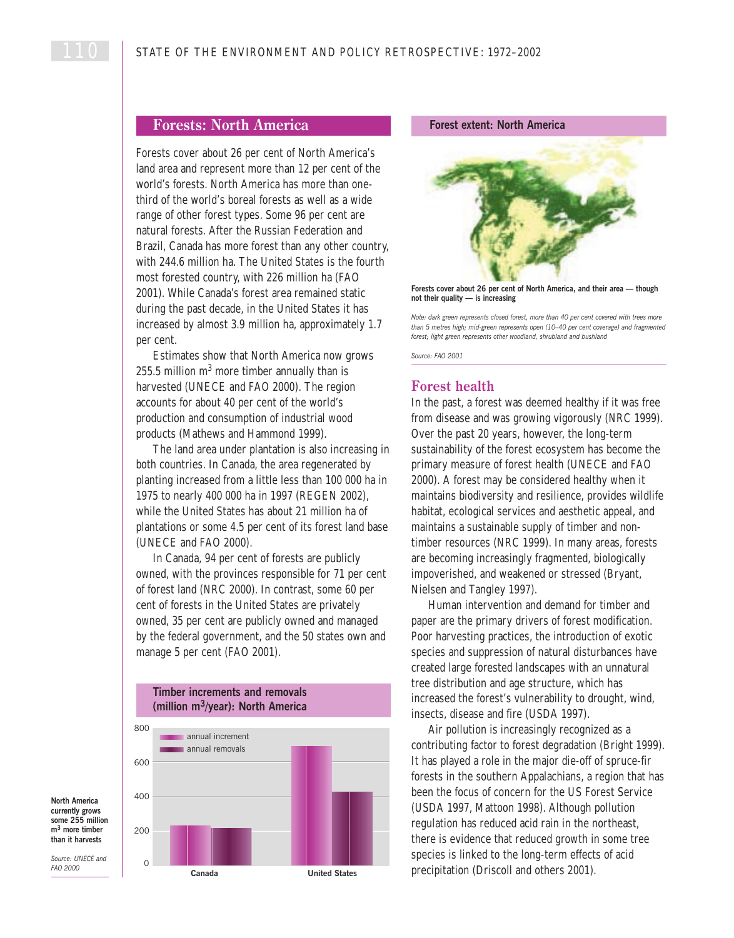### **Forests: North America**

Forests cover about 26 per cent of North America's land area and represent more than 12 per cent of the world's forests. North America has more than onethird of the world's boreal forests as well as a wide range of other forest types. Some 96 per cent are natural forests. After the Russian Federation and Brazil, Canada has more forest than any other country, with 244.6 million ha. The United States is the fourth most forested country, with 226 million ha (FAO 2001). While Canada's forest area remained static during the past decade, in the United States it has increased by almost 3.9 million ha, approximately 1.7 per cent.

Estimates show that North America now grows 255.5 million  $m<sup>3</sup>$  more timber annually than is harvested (UNECE and FAO 2000). The region accounts for about 40 per cent of the world's production and consumption of industrial wood products (Mathews and Hammond 1999).

The land area under plantation is also increasing in both countries. In Canada, the area regenerated by planting increased from a little less than 100 000 ha in 1975 to nearly 400 000 ha in 1997 (REGEN 2002), while the United States has about 21 million ha of plantations or some 4.5 per cent of its forest land base (UNECE and FAO 2000).

In Canada, 94 per cent of forests are publicly owned, with the provinces responsible for 71 per cent of forest land (NRC 2000). In contrast, some 60 per cent of forests in the United States are privately owned, 35 per cent are publicly owned and managed by the federal government, and the 50 states own and manage 5 per cent (FAO 2001).





**Forest extent: North America**

**Forests cover about 26 per cent of North America, and their area — though not their quality — is increasing**

*Note: dark green represents closed forest, more than 40 per cent covered with trees more than 5 metres high; mid-green represents open (10–40 per cent coverage) and fragmented forest; light green represents other woodland, shrubland and bushland*

*Source: FAO 2001*

### **Forest health**

In the past, a forest was deemed healthy if it was free from disease and was growing vigorously (NRC 1999). Over the past 20 years, however, the long-term sustainability of the forest ecosystem has become the primary measure of forest health (UNECE and FAO 2000). A forest may be considered healthy when it maintains biodiversity and resilience, provides wildlife habitat, ecological services and aesthetic appeal, and maintains a sustainable supply of timber and nontimber resources (NRC 1999). In many areas, forests are becoming increasingly fragmented, biologically impoverished, and weakened or stressed (Bryant, Nielsen and Tangley 1997).

Human intervention and demand for timber and paper are the primary drivers of forest modification. Poor harvesting practices, the introduction of exotic species and suppression of natural disturbances have created large forested landscapes with an unnatural tree distribution and age structure, which has increased the forest's vulnerability to drought, wind, insects, disease and fire (USDA 1997).

Air pollution is increasingly recognized as a contributing factor to forest degradation (Bright 1999). It has played a role in the major die-off of spruce-fir forests in the southern Appalachians, a region that has been the focus of concern for the US Forest Service (USDA 1997, Mattoon 1998). Although pollution regulation has reduced acid rain in the northeast, there is evidence that reduced growth in some tree species is linked to the long-term effects of acid precipitation (Driscoll and others 2001).

**North America currently grows some 255 million m3 more timber than it harvests** *Source: UNECE and FAO 2000*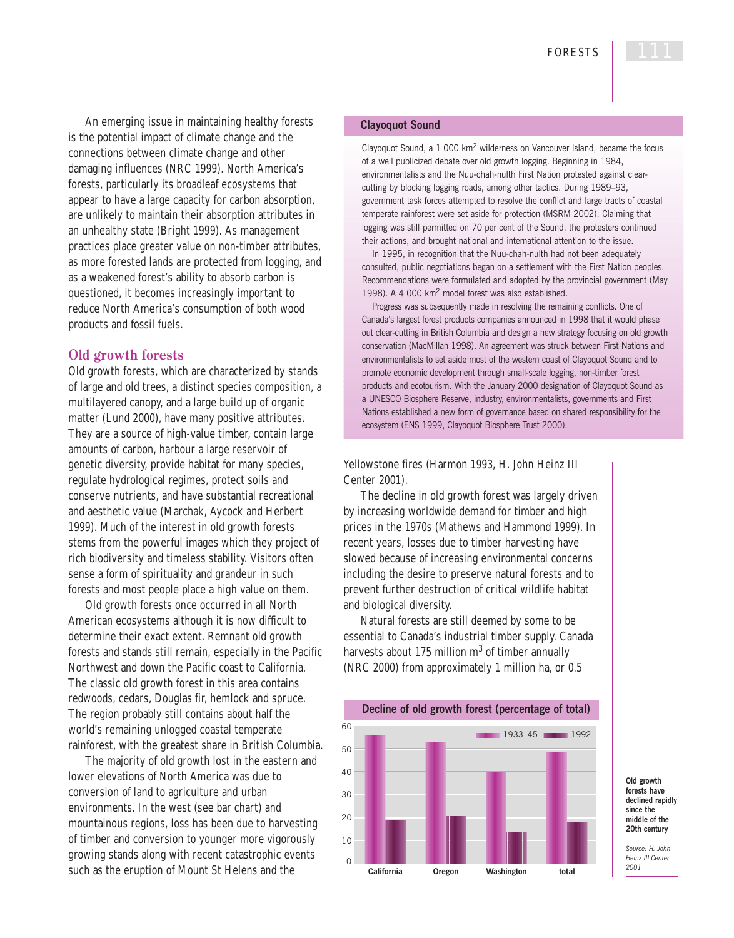An emerging issue in maintaining healthy forests is the potential impact of climate change and the connections between climate change and other damaging influences (NRC 1999). North America's forests, particularly its broadleaf ecosystems that appear to have a large capacity for carbon absorption, are unlikely to maintain their absorption attributes in an unhealthy state (Bright 1999). As management practices place greater value on non-timber attributes, as more forested lands are protected from logging, and as a weakened forest's ability to absorb carbon is questioned, it becomes increasingly important to reduce North America's consumption of both wood products and fossil fuels.

### **Old growth forests**

Old growth forests, which are characterized by stands of large and old trees, a distinct species composition, a multilayered canopy, and a large build up of organic matter (Lund 2000), have many positive attributes. They are a source of high-value timber, contain large amounts of carbon, harbour a large reservoir of genetic diversity, provide habitat for many species, regulate hydrological regimes, protect soils and conserve nutrients, and have substantial recreational and aesthetic value (Marchak, Aycock and Herbert 1999). Much of the interest in old growth forests stems from the powerful images which they project of rich biodiversity and timeless stability. Visitors often sense a form of spirituality and grandeur in such forests and most people place a high value on them.

Old growth forests once occurred in all North American ecosystems although it is now difficult to determine their exact extent. Remnant old growth forests and stands still remain, especially in the Pacific Northwest and down the Pacific coast to California. The classic old growth forest in this area contains redwoods, cedars, Douglas fir, hemlock and spruce. The region probably still contains about half the world's remaining unlogged coastal temperate rainforest, with the greatest share in British Columbia.

The majority of old growth lost in the eastern and lower elevations of North America was due to conversion of land to agriculture and urban environments. In the west (see bar chart) and mountainous regions, loss has been due to harvesting of timber and conversion to younger more vigorously growing stands along with recent catastrophic events such as the eruption of Mount St Helens and the

### **Clayoquot Sound**

Clayoquot Sound, a  $1000 \text{ km}^2$  wilderness on Vancouver Island, became the focus of a well publicized debate over old growth logging. Beginning in 1984, environmentalists and the Nuu-chah-nulth First Nation protested against clearcutting by blocking logging roads, among other tactics. During 1989–93, government task forces attempted to resolve the conflict and large tracts of coastal temperate rainforest were set aside for protection (MSRM 2002). Claiming that logging was still permitted on 70 per cent of the Sound, the protesters continued their actions, and brought national and international attention to the issue.

In 1995, in recognition that the Nuu-chah-nulth had not been adequately consulted, public negotiations began on a settlement with the First Nation peoples. Recommendations were formulated and adopted by the provincial government (May 1998). A 4 000 km2 model forest was also established.

Progress was subsequently made in resolving the remaining conflicts. One of Canada's largest forest products companies announced in 1998 that it would phase out clear-cutting in British Columbia and design a new strategy focusing on old growth conservation (MacMillan 1998). An agreement was struck between First Nations and environmentalists to set aside most of the western coast of Clayoquot Sound and to promote economic development through small-scale logging, non-timber forest products and ecotourism. With the January 2000 designation of Clayoquot Sound as a UNESCO Biosphere Reserve, industry, environmentalists, governments and First Nations established a new form of governance based on shared responsibility for the ecosystem (ENS 1999, Clayoquot Biosphere Trust 2000).

Yellowstone fires (Harmon 1993, H. John Heinz III Center 2001).

The decline in old growth forest was largely driven by increasing worldwide demand for timber and high prices in the 1970s (Mathews and Hammond 1999). In recent years, losses due to timber harvesting have slowed because of increasing environmental concerns including the desire to preserve natural forests and to prevent further destruction of critical wildlife habitat and biological diversity.

Natural forests are still deemed by some to be essential to Canada's industrial timber supply. Canada harvests about 175 million  $m<sup>3</sup>$  of timber annually (NRC 2000) from approximately 1 million ha, or 0.5



### **Old growth forests have declined rapidly since the middle of the 20th century**

*Source: H. John Heinz III Center 2001*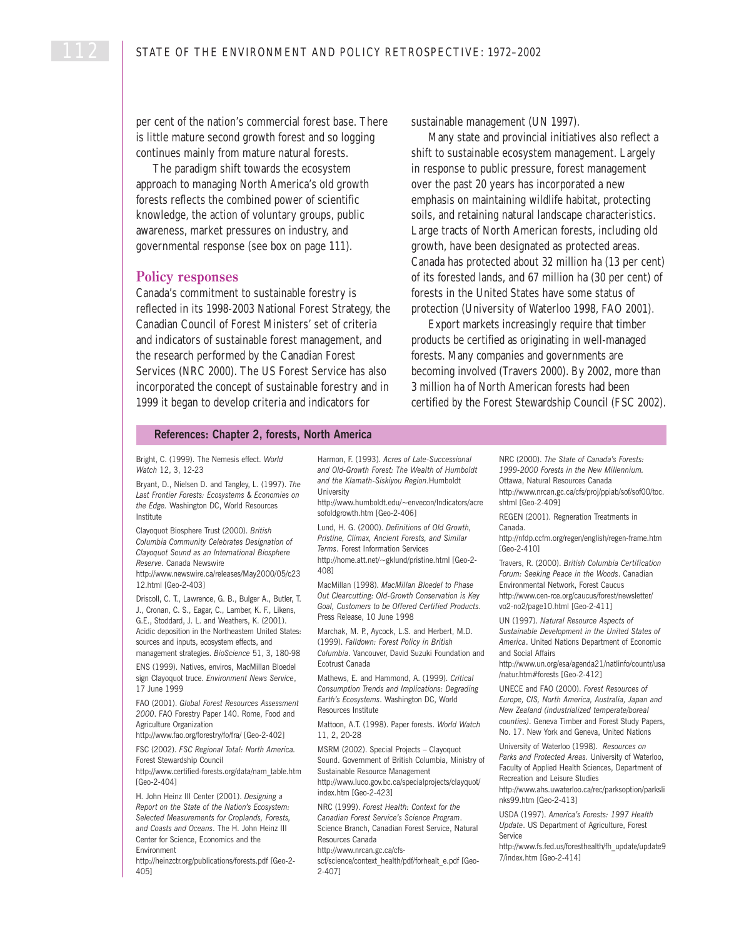per cent of the nation's commercial forest base. There is little mature second growth forest and so logging continues mainly from mature natural forests.

The paradigm shift towards the ecosystem approach to managing North America's old growth forests reflects the combined power of scientific knowledge, the action of voluntary groups, public awareness, market pressures on industry, and governmental response (see box on page 111).

### **Policy responses**

Canada's commitment to sustainable forestry is reflected in its 1998-2003 National Forest Strategy, the Canadian Council of Forest Ministers' set of criteria and indicators of sustainable forest management, and the research performed by the Canadian Forest Services (NRC 2000). The US Forest Service has also incorporated the concept of sustainable forestry and in 1999 it began to develop criteria and indicators for

sustainable management (UN 1997).

Many state and provincial initiatives also reflect a shift to sustainable ecosystem management. Largely in response to public pressure, forest management over the past 20 years has incorporated a new emphasis on maintaining wildlife habitat, protecting soils, and retaining natural landscape characteristics. Large tracts of North American forests, including old growth, have been designated as protected areas. Canada has protected about 32 million ha (13 per cent) of its forested lands, and 67 million ha (30 per cent) of forests in the United States have some status of protection (University of Waterloo 1998, FAO 2001).

Export markets increasingly require that timber products be certified as originating in well-managed forests. Many companies and governments are becoming involved (Travers 2000). By 2002, more than 3 million ha of North American forests had been certified by the Forest Stewardship Council (FSC 2002).

### **References: Chapter 2, forests, North America**

Bright, C. (1999). The Nemesis effect. *World Watch* 12, 3, 12-23

Bryant, D., Nielsen D. and Tangley, L. (1997). *The Last Frontier Forests: Ecosystems & Economies on the Edge.* Washington DC, World Resources Institute

Clayoquot Biosphere Trust (2000). *British Columbia Community Celebrates Designation of Clayoquot Sound as an International Biosphere Reserve*. Canada Newswire http://www.newswire.ca/releases/May2000/05/c23

12.html [Geo-2-403]

Driscoll, C. T., Lawrence, G. B., Bulger A., Butler, T. J., Cronan, C. S., Eagar, C., Lamber, K. F., Likens, G.E., Stoddard, J. L. and Weathers, K. (2001). Acidic deposition in the Northeastern United States: sources and inputs, ecosystem effects, and management strategies. *BioScience* 51, 3, 180-98

ENS (1999). Natives, enviros, MacMillan Bloedel sign Clayoquot truce. *Environment News Service*, 17 June 1999

FAO (2001). *Global Forest Resources Assessment 2000*. FAO Forestry Paper 140. Rome, Food and Agriculture Organization

http://www.fao.org/forestry/fo/fra/ [Geo-2-402]

FSC (2002). *FSC Regional Total: North America.* Forest Stewardship Council http://www.certified-forests.org/data/nam\_table.htm

[Geo-2-404]

H. John Heinz III Center (2001). *Designing a Report on the State of the Nation's Ecosystem: Selected Measurements for Croplands, Forests, and Coasts and Oceans*. The H. John Heinz III Center for Science, Economics and the Environment

http://heinzctr.org/publications/forests.pdf [Geo-2- 405]

Harmon, F. (1993). *Acres of Late-Successional and Old-Growth Forest: The Wealth of Humboldt and the Klamath-Siskiyou Region*.Humboldt University

http://www.humboldt.edu/~envecon/Indicators/acre sofoldgrowth.htm [Geo-2-406]

Lund, H. G. (2000). *Definitions of Old Growth, Pristine, Climax, Ancient Forests, and Similar Terms*. Forest Information Services http://home.att.net/~gklund/pristine.html [Geo-2-

408]

MacMillan (1998). *MacMillan Bloedel to Phase Out Clearcutting: Old-Growth Conservation is Key Goal, Customers to be Offered Certified Products*. Press Release, 10 June 1998

Marchak, M. P., Aycock, L.S. and Herbert, M.D. (1999). *Falldown: Forest Policy in British Columbia*. Vancouver, David Suzuki Foundation and Ecotrust Canada

Mathews, E. and Hammond, A. (1999). *Critical Consumption Trends and Implications: Degrading Earth's Ecosystems*. Washington DC, World Resources Institute

Mattoon, A.T. (1998). Paper forests. *World Watch* 11, 2, 20-28

MSRM (2002). Special Projects – Clayoquot Sound. Government of British Columbia, Ministry of Sustainable Resource Management

http://www.luco.gov.bc.ca/specialprojects/clayquot/ index.htm [Geo-2-423]

NRC (1999). *Forest Health: Context for the Canadian Forest Service's Science Program*. Science Branch, Canadian Forest Service, Natural Resources Canada

http://www.nrcan.gc.ca/cfs-

scf/science/context\_health/pdf/forhealt\_e.pdf [Geo-2-407]

NRC (2000). *The State of Canada's Forests: 1999-2000 Forests in the New Millennium.* Ottawa, Natural Resources Canada http://www.nrcan.gc.ca/cfs/proj/ppiab/sof/sof00/toc. shtml [Geo-2-409]

REGEN (2001). Regneration Treatments in Canada.

http://nfdp.ccfm.org/regen/english/regen-frame.htm [Geo-2-410]

Travers, R. (2000). *British Columbia Certification Forum: Seeking Peace in the Woods*. Canadian Environmental Network, Forest Caucus http://www.cen-rce.org/caucus/forest/newsletter/ vo2-no2/page10.html [Geo-2-411]

UN (1997). *Natural Resource Aspects of Sustainable Development in the United States of America*. United Nations Department of Economic and Social Affairs

http://www.un.org/esa/agenda21/natlinfo/countr/usa /natur.htm#forests [Geo-2-412]

UNECE and FAO (2000). *Forest Resources of Europe, CIS, North America, Australia, Japan and New Zealand (industrialized temperate/boreal counties)*. Geneva Timber and Forest Study Papers, No. 17. New York and Geneva, United Nations

University of Waterloo (1998). *Resources on Parks and Protected Areas.* University of Waterloo, Faculty of Applied Health Sciences, Department of Recreation and Leisure Studies http://www.ahs.uwaterloo.ca/rec/parksoption/parksli

nks99.htm [Geo-2-413]

USDA (1997). *America's Forests: 1997 Health Update*. US Department of Agriculture, Forest Service

http://www.fs.fed.us/foresthealth/fh\_update/update9 7/index.htm [Geo-2-414]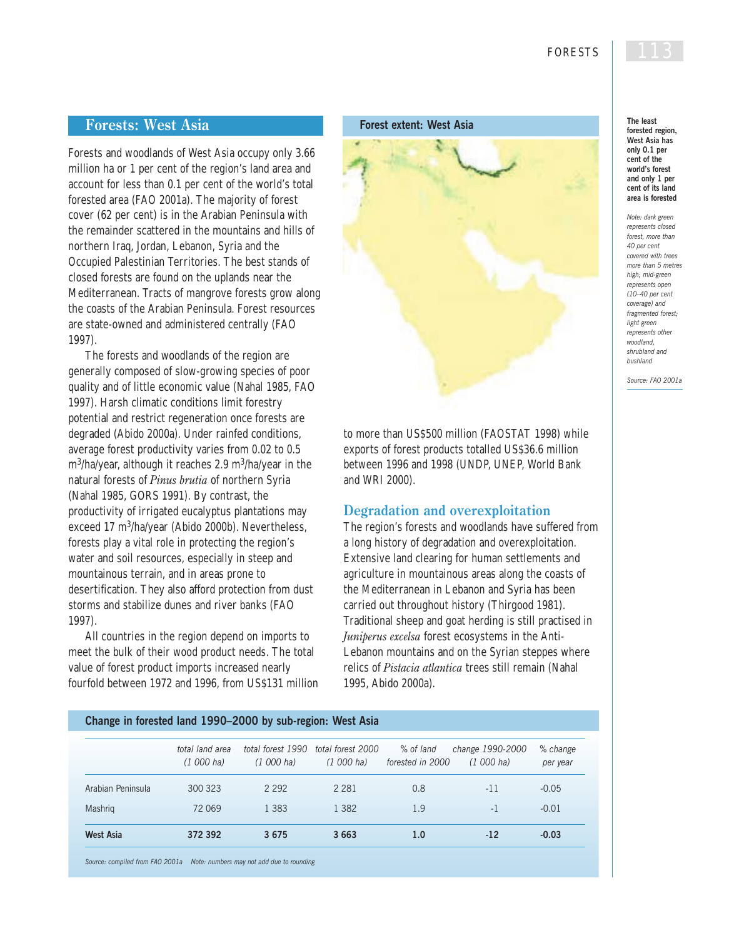### **FORESTS**

**The least forested region, West Asia has only 0.1 per cent of the world's forest and only 1 per cent of its land area is forested** *Note: dark green represents closed forest, more than 40 per cent covered with trees more than 5 metres high; mid-green represents open (10–40 per cent coverage) and fragmented forest; light green represents other woodland, shrubland and bushland Source: FAO 2001a*

### **Forests: West Asia**

Forests and woodlands of West Asia occupy only 3.66 million ha or 1 per cent of the region's land area and account for less than 0.1 per cent of the world's total forested area (FAO 2001a). The majority of forest cover (62 per cent) is in the Arabian Peninsula with the remainder scattered in the mountains and hills of northern Iraq, Jordan, Lebanon, Syria and the Occupied Palestinian Territories. The best stands of closed forests are found on the uplands near the Mediterranean. Tracts of mangrove forests grow along the coasts of the Arabian Peninsula. Forest resources are state-owned and administered centrally (FAO 1997).

The forests and woodlands of the region are generally composed of slow-growing species of poor quality and of little economic value (Nahal 1985, FAO 1997). Harsh climatic conditions limit forestry potential and restrict regeneration once forests are degraded (Abido 2000a). Under rainfed conditions, average forest productivity varies from 0.02 to 0.5  $m^3/ha/year$ , although it reaches 2.9  $m^3/ha/year$  in the natural forests of *Pinus brutia* of northern Syria (Nahal 1985, GORS 1991). By contrast, the productivity of irrigated eucalyptus plantations may exceed 17 m3/ha/year (Abido 2000b). Nevertheless, forests play a vital role in protecting the region's water and soil resources, especially in steep and mountainous terrain, and in areas prone to desertification. They also afford protection from dust storms and stabilize dunes and river banks (FAO 1997).

All countries in the region depend on imports to meet the bulk of their wood product needs. The total value of forest product imports increased nearly fourfold between 1972 and 1996, from US\$131 million

### **Forest extent: West Asia**



to more than US\$500 million (FAOSTAT 1998) while exports of forest products totalled US\$36.6 million between 1996 and 1998 (UNDP, UNEP, World Bank and WRI 2000).

### **Degradation and overexploitation**

The region's forests and woodlands have suffered from a long history of degradation and overexploitation. Extensive land clearing for human settlements and agriculture in mountainous areas along the coasts of the Mediterranean in Lebanon and Syria has been carried out throughout history (Thirgood 1981). Traditional sheep and goat herding is still practised in *Juniperus excelsa* forest ecosystems in the Anti-Lebanon mountains and on the Syrian steppes where relics of *Pistacia atlantica* trees still remain (Nahal 1995, Abido 2000a).

| <b>West Asia</b>  | 372 392                       | 3675                            | 3 6 6 3                         | 1.0                           | $-12$                          | $-0.03$                |
|-------------------|-------------------------------|---------------------------------|---------------------------------|-------------------------------|--------------------------------|------------------------|
| Mashrig           | 72 069                        | 1 3 8 3                         | 1 3 8 2                         | 1.9                           | $-1$                           | $-0.01$                |
| Arabian Peninsula | 300 323                       | 2 2 9 2                         | 2 2 8 1                         | 0.8                           | $-11$                          | $-0.05$                |
|                   | total land area<br>(1 000 ha) | total forest 1990<br>(1 000 ha) | total forest 2000<br>(1 000 ha) | % of land<br>forested in 2000 | change 1990-2000<br>(1 000 ha) | $%$ change<br>per year |

*Source: compiled from FAO 2001a Note: numbers may not add due to rounding*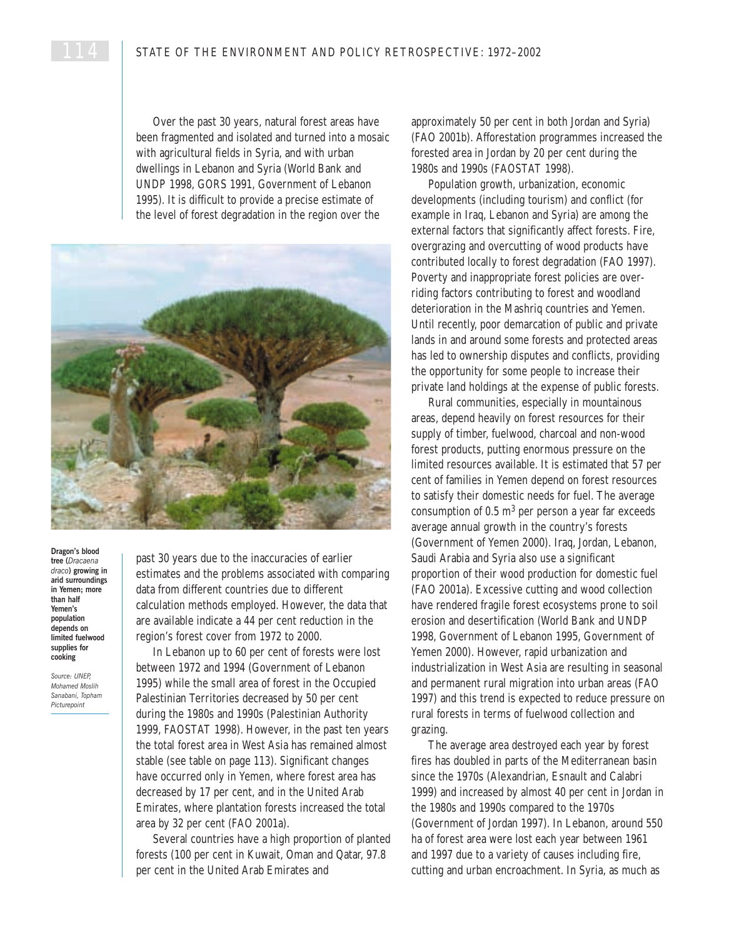Over the past 30 years, natural forest areas have been fragmented and isolated and turned into a mosaic with agricultural fields in Syria, and with urban dwellings in Lebanon and Syria (World Bank and UNDP 1998, GORS 1991, Government of Lebanon 1995). It is difficult to provide a precise estimate of the level of forest degradation in the region over the



**Dragon's blood tree (***Dracaena draco***) growing in arid surroundings in Yemen; more than half Yemen's population depends on limited fuelwood supplies for cooking**

*Source: UNEP, Mohamed Moslih Sanabani, Topham Picturepoint*

past 30 years due to the inaccuracies of earlier estimates and the problems associated with comparing data from different countries due to different calculation methods employed. However, the data that are available indicate a 44 per cent reduction in the region's forest cover from 1972 to 2000.

In Lebanon up to 60 per cent of forests were lost between 1972 and 1994 (Government of Lebanon 1995) while the small area of forest in the Occupied Palestinian Territories decreased by 50 per cent during the 1980s and 1990s (Palestinian Authority 1999, FAOSTAT 1998). However, in the past ten years the total forest area in West Asia has remained almost stable (see table on page 113). Significant changes have occurred only in Yemen, where forest area has decreased by 17 per cent, and in the United Arab Emirates, where plantation forests increased the total area by 32 per cent (FAO 2001a).

Several countries have a high proportion of planted forests (100 per cent in Kuwait, Oman and Qatar, 97.8 per cent in the United Arab Emirates and

approximately 50 per cent in both Jordan and Syria) (FAO 2001b). Afforestation programmes increased the forested area in Jordan by 20 per cent during the 1980s and 1990s (FAOSTAT 1998).

Population growth, urbanization, economic developments (including tourism) and conflict (for example in Iraq, Lebanon and Syria) are among the external factors that significantly affect forests. Fire, overgrazing and overcutting of wood products have contributed locally to forest degradation (FAO 1997). Poverty and inappropriate forest policies are overriding factors contributing to forest and woodland deterioration in the Mashriq countries and Yemen. Until recently, poor demarcation of public and private lands in and around some forests and protected areas has led to ownership disputes and conflicts, providing the opportunity for some people to increase their private land holdings at the expense of public forests.

Rural communities, especially in mountainous areas, depend heavily on forest resources for their supply of timber, fuelwood, charcoal and non-wood forest products, putting enormous pressure on the limited resources available. It is estimated that 57 per cent of families in Yemen depend on forest resources to satisfy their domestic needs for fuel. The average consumption of  $0.5 \text{ m}^3$  per person a year far exceeds average annual growth in the country's forests (Government of Yemen 2000). Iraq, Jordan, Lebanon, Saudi Arabia and Syria also use a significant proportion of their wood production for domestic fuel (FAO 2001a). Excessive cutting and wood collection have rendered fragile forest ecosystems prone to soil erosion and desertification (World Bank and UNDP 1998, Government of Lebanon 1995, Government of Yemen 2000). However, rapid urbanization and industrialization in West Asia are resulting in seasonal and permanent rural migration into urban areas (FAO 1997) and this trend is expected to reduce pressure on rural forests in terms of fuelwood collection and grazing.

The average area destroyed each year by forest fires has doubled in parts of the Mediterranean basin since the 1970s (Alexandrian, Esnault and Calabri 1999) and increased by almost 40 per cent in Jordan in the 1980s and 1990s compared to the 1970s (Government of Jordan 1997). In Lebanon, around 550 ha of forest area were lost each year between 1961 and 1997 due to a variety of causes including fire, cutting and urban encroachment. In Syria, as much as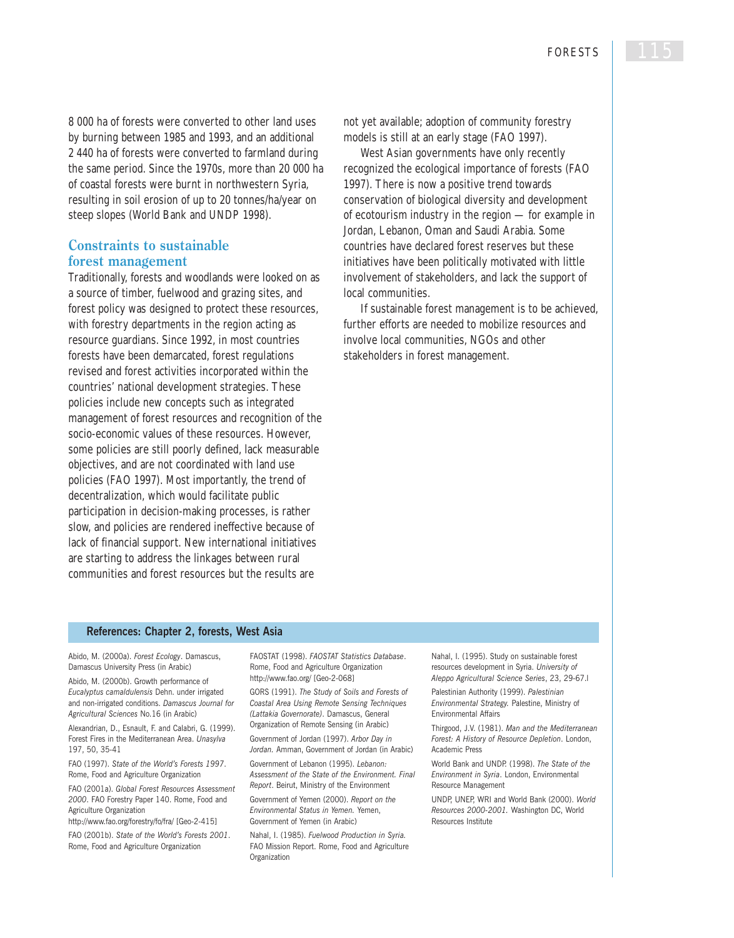8 000 ha of forests were converted to other land uses by burning between 1985 and 1993, and an additional 2 440 ha of forests were converted to farmland during the same period. Since the 1970s, more than 20 000 ha of coastal forests were burnt in northwestern Syria, resulting in soil erosion of up to 20 tonnes/ha/year on steep slopes (World Bank and UNDP 1998).

### **Constraints to sustainable forest management**

Traditionally, forests and woodlands were looked on as a source of timber, fuelwood and grazing sites, and forest policy was designed to protect these resources, with forestry departments in the region acting as resource guardians. Since 1992, in most countries forests have been demarcated, forest regulations revised and forest activities incorporated within the countries' national development strategies. These policies include new concepts such as integrated management of forest resources and recognition of the socio-economic values of these resources. However, some policies are still poorly defined, lack measurable objectives, and are not coordinated with land use policies (FAO 1997). Most importantly, the trend of decentralization, which would facilitate public participation in decision-making processes, is rather slow, and policies are rendered ineffective because of lack of financial support. New international initiatives are starting to address the linkages between rural communities and forest resources but the results are

not yet available; adoption of community forestry models is still at an early stage (FAO 1997).

West Asian governments have only recently recognized the ecological importance of forests (FAO 1997). There is now a positive trend towards conservation of biological diversity and development of ecotourism industry in the region — for example in Jordan, Lebanon, Oman and Saudi Arabia. Some countries have declared forest reserves but these initiatives have been politically motivated with little involvement of stakeholders, and lack the support of local communities.

If sustainable forest management is to be achieved, further efforts are needed to mobilize resources and involve local communities, NGOs and other stakeholders in forest management.

### **References: Chapter 2, forests, West Asia**

Abido, M. (2000a). *Forest Ecology*. Damascus, Damascus University Press (in Arabic)

Abido, M. (2000b). Growth performance of *Eucalyptus camaldulensis* Dehn. under irrigated and non-irrigated conditions. *Damascus Journal for Agricultural Sciences* No.16 (in Arabic)

Alexandrian, D., Esnault, F. and Calabri, G. (1999). Forest Fires in the Mediterranean Area. *Unasylva* 197, 50, 35-41

FAO (1997). *State of the World's Forests 1997*. Rome, Food and Agriculture Organization

FAO (2001a). *Global Forest Resources Assessment 2000*. FAO Forestry Paper 140. Rome, Food and Agriculture Organization

http://www.fao.org/forestry/fo/fra/ [Geo-2-415]

FAO (2001b). *State of the World's Forests 2001*. Rome, Food and Agriculture Organization

FAOSTAT (1998). *FAOSTAT Statistics Database*. Rome, Food and Agriculture Organization http://www.fao.org/ [Geo-2-068]

GORS (1991). *The Study of Soils and Forests of Coastal Area Using Remote Sensing Techniques (Lattakia Governorate)*. Damascus, General Organization of Remote Sensing (in Arabic)

Government of Jordan (1997). *Arbor Day in Jordan.* Amman, Government of Jordan (in Arabic)

Government of Lebanon (1995). *Lebanon: Assessment of the State of the Environment. Final Report*. Beirut, Ministry of the Environment

Government of Yemen (2000). *Report on the Environmental Status in Yemen.* Yemen, Government of Yemen (in Arabic)

Nahal, I. (1985). *Fuelwood Production in Syria.* FAO Mission Report. Rome, Food and Agriculture **Organization** 

Nahal, I. (1995). Study on sustainable forest resources development in Syria. *University of Aleppo Agricultural Science Series*, 23, 29-67.l

Palestinian Authority (1999). *Palestinian Environmental Strategy.* Palestine, Ministry of Environmental Affairs

Thirgood, J.V. (1981). *Man and the Mediterranean Forest: A History of Resource Depletion*. London, Academic Press

World Bank and UNDP. (1998). *The State of the Environment in Syria*. London, Environmental Resource Management

UNDP, UNEP, WRI and World Bank (2000). *World Resources 2000-2001.* Washington DC, World Resources Institute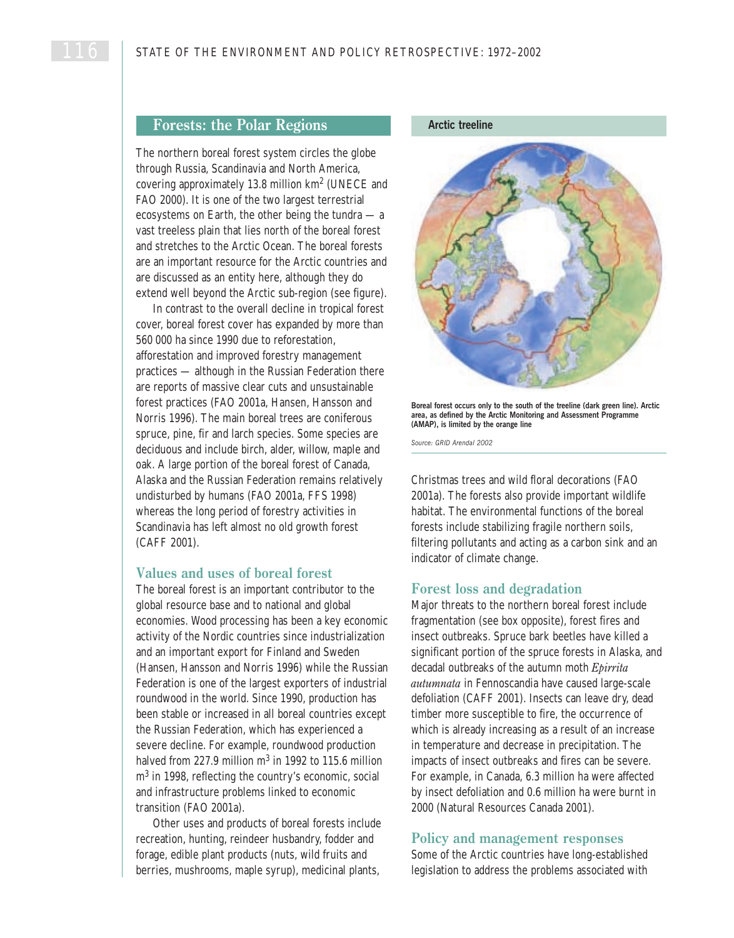### **Forests: the Polar Regions**

The northern boreal forest system circles the globe through Russia, Scandinavia and North America, covering approximately 13.8 million km<sup>2</sup> (UNECE and FAO 2000). It is one of the two largest terrestrial ecosystems on Earth, the other being the tundra — a vast treeless plain that lies north of the boreal forest and stretches to the Arctic Ocean. The boreal forests are an important resource for the Arctic countries and are discussed as an entity here, although they do extend well beyond the Arctic sub-region (see figure).

In contrast to the overall decline in tropical forest cover, boreal forest cover has expanded by more than 560 000 ha since 1990 due to reforestation, afforestation and improved forestry management practices — although in the Russian Federation there are reports of massive clear cuts and unsustainable forest practices (FAO 2001a, Hansen, Hansson and Norris 1996). The main boreal trees are coniferous spruce, pine, fir and larch species. Some species are deciduous and include birch, alder, willow, maple and oak. A large portion of the boreal forest of Canada, Alaska and the Russian Federation remains relatively undisturbed by humans (FAO 2001a, FFS 1998) whereas the long period of forestry activities in Scandinavia has left almost no old growth forest (CAFF 2001).

### **Values and uses of boreal forest**

The boreal forest is an important contributor to the global resource base and to national and global economies. Wood processing has been a key economic activity of the Nordic countries since industrialization and an important export for Finland and Sweden (Hansen, Hansson and Norris 1996) while the Russian Federation is one of the largest exporters of industrial roundwood in the world. Since 1990, production has been stable or increased in all boreal countries except the Russian Federation, which has experienced a severe decline. For example, roundwood production halved from 227.9 million  $m^3$  in 1992 to 115.6 million m<sup>3</sup> in 1998, reflecting the country's economic, social and infrastructure problems linked to economic transition (FAO 2001a).

Other uses and products of boreal forests include recreation, hunting, reindeer husbandry, fodder and forage, edible plant products (nuts, wild fruits and berries, mushrooms, maple syrup), medicinal plants,

**Arctic treeline**



**Boreal forest occurs only to the south of the treeline (dark green line). Arctic area, as defined by the Arctic Monitoring and Assessment Programme (AMAP), is limited by the orange line**

*Source: GRID Arendal 2002*

Christmas trees and wild floral decorations (FAO 2001a). The forests also provide important wildlife habitat. The environmental functions of the boreal forests include stabilizing fragile northern soils, filtering pollutants and acting as a carbon sink and an indicator of climate change.

### **Forest loss and degradation**

Major threats to the northern boreal forest include fragmentation (see box opposite), forest fires and insect outbreaks. Spruce bark beetles have killed a significant portion of the spruce forests in Alaska, and decadal outbreaks of the autumn moth *Epirrita autumnata* in Fennoscandia have caused large-scale defoliation (CAFF 2001). Insects can leave dry, dead timber more susceptible to fire, the occurrence of which is already increasing as a result of an increase in temperature and decrease in precipitation. The impacts of insect outbreaks and fires can be severe. For example, in Canada, 6.3 million ha were affected by insect defoliation and 0.6 million ha were burnt in 2000 (Natural Resources Canada 2001).

### **Policy and management responses**

Some of the Arctic countries have long-established legislation to address the problems associated with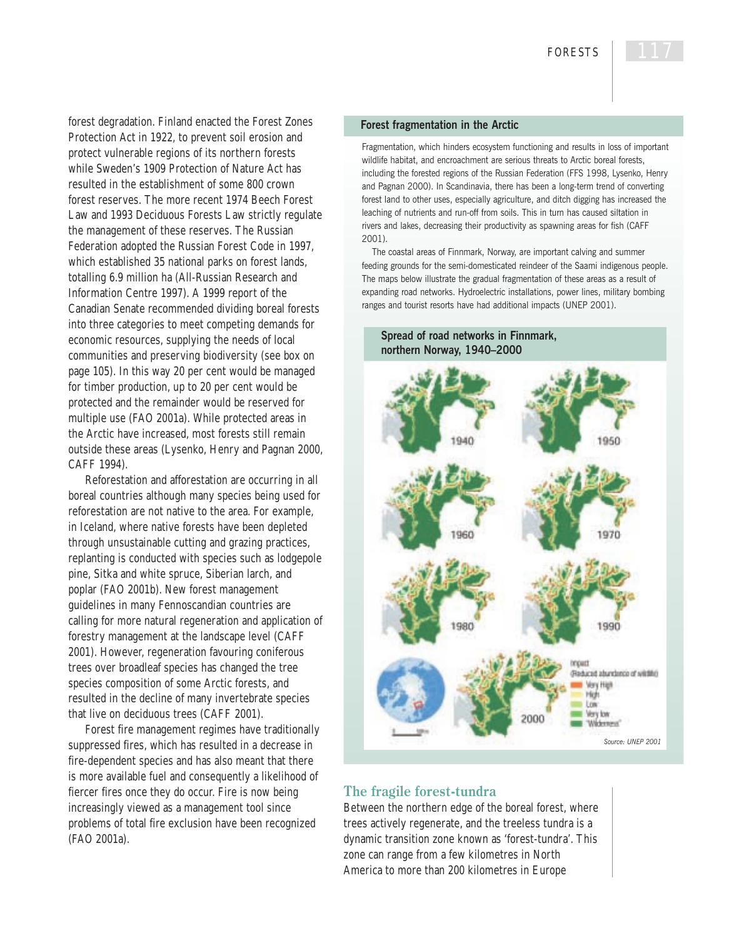forest degradation. Finland enacted the Forest Zones Protection Act in 1922, to prevent soil erosion and protect vulnerable regions of its northern forests while Sweden's 1909 Protection of Nature Act has resulted in the establishment of some 800 crown forest reserves. The more recent 1974 Beech Forest Law and 1993 Deciduous Forests Law strictly regulate the management of these reserves. The Russian Federation adopted the Russian Forest Code in 1997, which established 35 national parks on forest lands, totalling 6.9 million ha (All-Russian Research and Information Centre 1997). A 1999 report of the Canadian Senate recommended dividing boreal forests into three categories to meet competing demands for economic resources, supplying the needs of local communities and preserving biodiversity (see box on page 105). In this way 20 per cent would be managed for timber production, up to 20 per cent would be protected and the remainder would be reserved for multiple use (FAO 2001a). While protected areas in the Arctic have increased, most forests still remain outside these areas (Lysenko, Henry and Pagnan 2000, CAFF 1994).

Reforestation and afforestation are occurring in all boreal countries although many species being used for reforestation are not native to the area. For example, in Iceland, where native forests have been depleted through unsustainable cutting and grazing practices, replanting is conducted with species such as lodgepole pine, Sitka and white spruce, Siberian larch, and poplar (FAO 2001b). New forest management guidelines in many Fennoscandian countries are calling for more natural regeneration and application of forestry management at the landscape level (CAFF 2001). However, regeneration favouring coniferous trees over broadleaf species has changed the tree species composition of some Arctic forests, and resulted in the decline of many invertebrate species that live on deciduous trees (CAFF 2001).

Forest fire management regimes have traditionally suppressed fires, which has resulted in a decrease in fire-dependent species and has also meant that there is more available fuel and consequently a likelihood of fiercer fires once they do occur. Fire is now being increasingly viewed as a management tool since problems of total fire exclusion have been recognized (FAO 2001a).

### **Forest fragmentation in the Arctic**

Fragmentation, which hinders ecosystem functioning and results in loss of important wildlife habitat, and encroachment are serious threats to Arctic boreal forests, including the forested regions of the Russian Federation (FFS 1998, Lysenko, Henry and Pagnan 2000). In Scandinavia, there has been a long-term trend of converting forest land to other uses, especially agriculture, and ditch digging has increased the leaching of nutrients and run-off from soils. This in turn has caused siltation in rivers and lakes, decreasing their productivity as spawning areas for fish (CAFF 2001).

The coastal areas of Finnmark, Norway, are important calving and summer feeding grounds for the semi-domesticated reindeer of the Saami indigenous people. The maps below illustrate the gradual fragmentation of these areas as a result of expanding road networks. Hydroelectric installations, power lines, military bombing ranges and tourist resorts have had additional impacts (UNEP 2001).



### **The fragile forest-tundra**

Between the northern edge of the boreal forest, where trees actively regenerate, and the treeless tundra is a dynamic transition zone known as 'forest-tundra'. This zone can range from a few kilometres in North America to more than 200 kilometres in Europe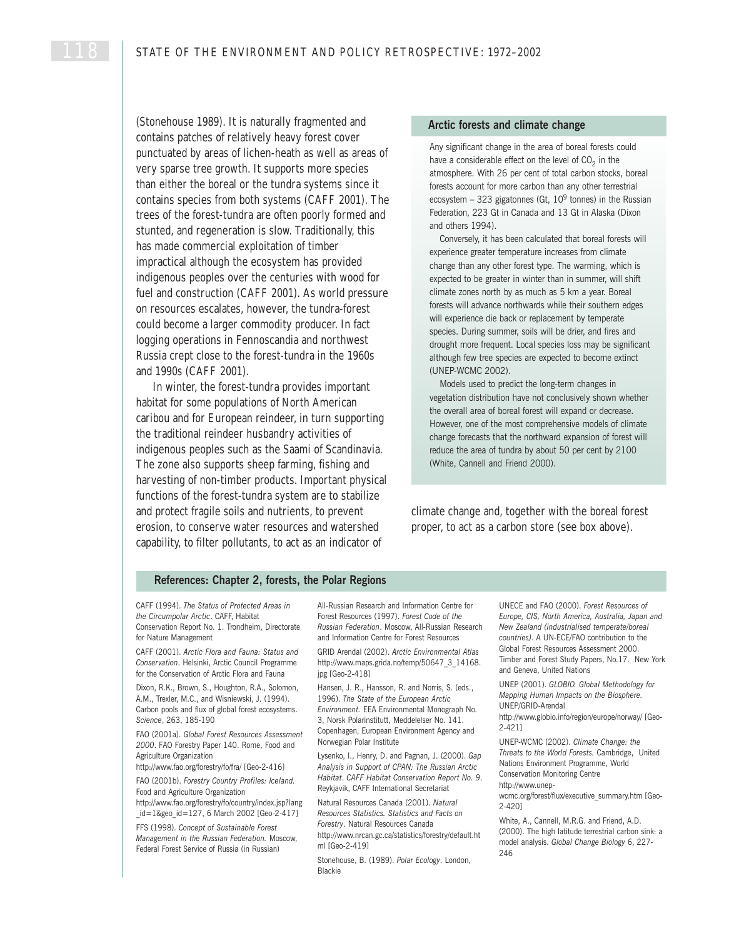(Stonehouse 1989). It is naturally fragmented and contains patches of relatively heavy forest cover punctuated by areas of lichen-heath as well as areas of very sparse tree growth. It supports more species than either the boreal or the tundra systems since it contains species from both systems (CAFF 2001). The trees of the forest-tundra are often poorly formed and stunted, and regeneration is slow. Traditionally, this has made commercial exploitation of timber impractical although the ecosystem has provided indigenous peoples over the centuries with wood for fuel and construction (CAFF 2001). As world pressure on resources escalates, however, the tundra-forest could become a larger commodity producer. In fact logging operations in Fennoscandia and northwest Russia crept close to the forest-tundra in the 1960s and 1990s (CAFF 2001).

In winter, the forest-tundra provides important habitat for some populations of North American caribou and for European reindeer, in turn supporting the traditional reindeer husbandry activities of indigenous peoples such as the Saami of Scandinavia. The zone also supports sheep farming, fishing and harvesting of non-timber products. Important physical functions of the forest-tundra system are to stabilize and protect fragile soils and nutrients, to prevent erosion, to conserve water resources and watershed capability, to filter pollutants, to act as an indicator of

### **Arctic forests and climate change**

Any significant change in the area of boreal forests could have a considerable effect on the level of  $CO<sub>2</sub>$  in the atmosphere. With 26 per cent of total carbon stocks, boreal forests account for more carbon than any other terrestrial ecosystem – 323 gigatonnes (Gt,  $10^9$  tonnes) in the Russian Federation, 223 Gt in Canada and 13 Gt in Alaska (Dixon and others 1994).

Conversely, it has been calculated that boreal forests will experience greater temperature increases from climate change than any other forest type. The warming, which is expected to be greater in winter than in summer, will shift climate zones north by as much as 5 km a year. Boreal forests will advance northwards while their southern edges will experience die back or replacement by temperate species. During summer, soils will be drier, and fires and drought more frequent. Local species loss may be significant although few tree species are expected to become extinct (UNEP-WCMC 2002).

Models used to predict the long-term changes in vegetation distribution have not conclusively shown whether the overall area of boreal forest will expand or decrease. However, one of the most comprehensive models of climate change forecasts that the northward expansion of forest will reduce the area of tundra by about 50 per cent by 2100 (White, Cannell and Friend 2000).

climate change and, together with the boreal forest proper, to act as a carbon store (see box above).

### **References: Chapter 2, forests, the Polar Regions**

CAFF (1994). *The Status of Protected Areas in the Circumpolar Arctic*. CAFF, Habitat Conservation Report No. 1. Trondheim, Directorate for Nature Management

CAFF (2001). *Arctic Flora and Fauna: Status and Conservation*. Helsinki, Arctic Council Programme for the Conservation of Arctic Flora and Fauna

Dixon, R.K., Brown, S., Houghton, R.A., Solomon, A.M., Trexler, M.C., and Wisniewski, J. (1994). Carbon pools and flux of global forest ecosystems. *Science*, 263, 185-190

FAO (2001a). *Global Forest Resources Assessment 2000*. FAO Forestry Paper 140. Rome, Food and Agriculture Organization

http://www.fao.org/forestry/fo/fra/ [Geo-2-416]

FAO (2001b). *Forestry Country Profiles: Iceland.* Food and Agriculture Organization

http://www.fao.org/forestry/fo/country/index.jsp?lang id=1&geo\_id=127, 6 March 2002 [Geo-2-417]

FFS (1998). *Concept of Sustainable Forest Management in the Russian Federation.* Moscow, Federal Forest Service of Russia (in Russian)

All-Russian Research and Information Centre for Forest Resources (1997). *Forest Code of the Russian Federation*. Moscow, All-Russian Research and Information Centre for Forest Resources

GRID Arendal (2002). *Arctic Environmental Atlas* http://www.maps.grida.no/temp/50647\_3\_14168. jpg [Geo-2-418]

Hansen, J. R., Hansson, R. and Norris, S. (eds., 1996). *The State of the European Arctic Environment.* EEA Environmental Monograph No. 3, Norsk Polarinstitutt, Meddelelser No. 141. Copenhagen, European Environment Agency and Norwegian Polar Institute

Lysenko, I., Henry, D. and Pagnan, J. (2000). *Gap Analysis in Support of CPAN: The Russian Arctic Habitat*. *CAFF Habitat Conservation Report No. 9*. Reykjavik, CAFF International Secretariat

Natural Resources Canada (2001). *Natural Resources Statistics. Statistics and Facts on Forestry*. Natural Resources Canada http://www.nrcan.gc.ca/statistics/forestry/default.ht ml [Geo-2-419]

Stonehouse, B. (1989). *Polar Ecology*. London, Blackie

UNECE and FAO (2000). *Forest Resources of Europe, CIS, North America, Australia, Japan and New Zealand (industrialised temperate/boreal countries)*. A UN-ECE/FAO contribution to the Global Forest Resources Assessment 2000. Timber and Forest Study Papers, No.17. New York and Geneva, United Nations

UNEP (2001). *GLOBIO. Global Methodology for Mapping Human Impacts on the Biosphere.* UNEP/GRID-Arendal

http://www.globio.info/region/europe/norway/ [Geo-2-421]

UNEP-WCMC (2002). *Climate Change: the Threats to the World Forests.* Cambridge, United Nations Environment Programme, World Conservation Monitoring Centre

http://www.unep-

wcmc.org/forest/flux/executive\_summary.htm [Geo-2-420]

White, A., Cannell, M.R.G. and Friend, A.D. (2000). The high latitude terrestrial carbon sink: a model analysis. *Global Change Biology* 6, 227- 246